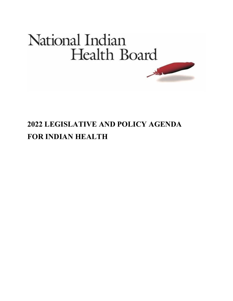# National Indian Health Board **MAGAZIN**

## **2022 LEGISLATIVE AND POLICY AGENDA FOR INDIAN HEALTH**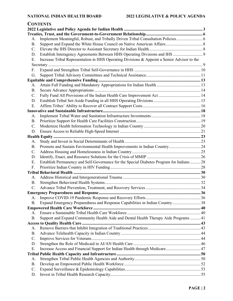| <b>CONTENTS</b> |                                                                                             |  |  |
|-----------------|---------------------------------------------------------------------------------------------|--|--|
|                 |                                                                                             |  |  |
|                 |                                                                                             |  |  |
| А.              | Implement Meaningful, Robust, and Tribally Driven Tribal Consultation Policies 6            |  |  |
| <b>B.</b>       |                                                                                             |  |  |
| $\mathbf{C}$ .  |                                                                                             |  |  |
| D.              |                                                                                             |  |  |
| Е.              | Increase Tribal Representation in HHS Operating Divisions & Appoint a Senior Advisor to the |  |  |
|                 |                                                                                             |  |  |
| F.              |                                                                                             |  |  |
| G.              |                                                                                             |  |  |
|                 |                                                                                             |  |  |
| А.              |                                                                                             |  |  |
| В.              |                                                                                             |  |  |
| C.              |                                                                                             |  |  |
| D.              |                                                                                             |  |  |
| Ε.              |                                                                                             |  |  |
|                 |                                                                                             |  |  |
| А.              |                                                                                             |  |  |
| Β.              |                                                                                             |  |  |
| $C$ .           |                                                                                             |  |  |
| D.              |                                                                                             |  |  |
|                 |                                                                                             |  |  |
| А.              |                                                                                             |  |  |
| B.              |                                                                                             |  |  |
| $C_{\cdot}$     |                                                                                             |  |  |
| D.              |                                                                                             |  |  |
| Е.              | Establish Permanency and Self-Governance for the Special Diabetes Program for Indians 28    |  |  |
| F.              |                                                                                             |  |  |
|                 |                                                                                             |  |  |
| А.              |                                                                                             |  |  |
| В.              |                                                                                             |  |  |
| C.              |                                                                                             |  |  |
|                 |                                                                                             |  |  |
| А.              |                                                                                             |  |  |
| В.              | Expand Emergency Preparedness and Response Capabilities in Indian Country 38                |  |  |
|                 |                                                                                             |  |  |
| А.              |                                                                                             |  |  |
| <b>B.</b>       | Support and Expand Community Health Aide and Dental Health Therapy Aide Programs  41        |  |  |
|                 |                                                                                             |  |  |
| А.              |                                                                                             |  |  |
| Β.              |                                                                                             |  |  |
| C.              |                                                                                             |  |  |
| D.              |                                                                                             |  |  |
| Ε.              | Increase Access and Financial Support for Indian Health through Medicare 47                 |  |  |
|                 |                                                                                             |  |  |
| А.<br><b>B.</b> |                                                                                             |  |  |
| C.              |                                                                                             |  |  |
| D.              |                                                                                             |  |  |
|                 |                                                                                             |  |  |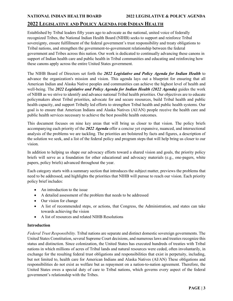### <span id="page-2-0"></span>**2022 LEGISLATIVE AND POLICY AGENDA FOR INDIAN HEALTH**

Established by Tribal leaders fifty years ago to advocate as the national, united voice of federally recognized Tribes, the National Indian Health Board (NIHB) seeks to support and reinforce Tribal sovereignty, ensure fulfillment of the federal government's trust responsibility and treaty obligations to Tribal nations, and strengthen the government-to-government relationship between the federal government and Tribes across this nation. Our work is dedicated to continually advancing these canons in support of Indian health care and public health in Tribal communities and educating and reinforcing how these canons apply across the entire United States government.

The NIHB Board of Directors set forth the *2022 Legislative and Policy Agenda for Indian Health* to advance the organization's mission and vision. This agenda lays out a blueprint for ensuring that all American Indian and Alaska Native peoples and communities can achieve the highest level of health and well-being. The *2022 Legislative and Policy Agenda for Indian Health (2022 Agenda)* guides the work of NIHB as we strive to identify and advance national Tribal health priorities. Our objectives are to educate policymakers about Tribal priorities, advocate for and secure resources, build Tribal health and public health capacity, and support Tribally led efforts to strengthen Tribal health and public health systems. Our goal is to ensure that American Indians and Alaska Natives (AI/AN) people receive the health care and public health services necessary to achieve the best possible health outcomes.

This document focuses on nine key areas that will bring us closer to that vision. The policy briefs accompanying each priority of the *2022 Agenda* offer a concise yet expansive, nuanced, and intersectional analysis of the problems we are tackling. The priorities are bolstered by facts and figures, a description of the solution we seek, and a list of the federal policy and program steps that will help bring us closer to our vision.

In addition to helping us shape our advocacy efforts toward a shared vision and goals, the priority policy briefs will serve as a foundation for other educational and advocacy materials (e.g., one-pagers, white papers, policy briefs) advanced throughout the year.

Each category starts with a summary section that introduces the subject matter, previews the problems that need to be addressed, and highlights the priorities that NIHB will pursue to reach our vision. Each priority policy brief includes:

- An introduction to the issue
- A detailed assessment of the problem that needs to be addressed
- Our vision for change
- A list of recommended steps, or actions, that Congress, the Administration, and states can take towards achieving the vision
- A list of resources and related NIHB Resolutions

#### **Introduction**

*Federal Trust Responsibility.* Tribal nations are separate and distinct domestic sovereign governments. The United States Constitution, several Supreme Court decisions, and numerous laws and treaties recognize this status and distinction. Since colonization, the United States has executed hundreds of treaties with Tribal nations in which millions of acres of Tribal lands and natural resources were ceded, often involuntarily, in exchange for the resulting federal trust obligations and responsibilities that exist in perpetuity, including, but not limited to, health care for American Indians and Alaska Natives (AI/AN) These obligations and responsibilities do not exist as welfare but as repayment on a nation-to-nation agreement. Therefore, the United States owes a special duty of care to Tribal nations, which governs every aspect of the federal government's relationship with the Tribes.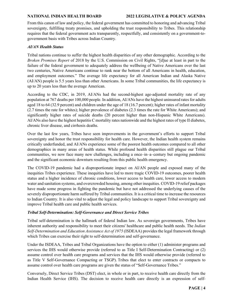#### **NATIONAL INDIAN HEALTH BOARD 2022 LEGISLATIVE & POLICY AGENDA**

From this canon of law and policy, the federal government has committed to honoring and advancing Tribal sovereignty, fulfilling treaty promises, and upholding the trust responsibility to Tribes. This relationship requires that the federal government acts transparently, respectfully, and consistently on a government-togovernment basis with Tribes across Indian Country.

#### *AI/AN Health Status*

Tribal nations continue to suffer the highest health disparities of any other demographic. According to the *Broken Promises Report* of 2018 by the U.S. Commission on Civil Rights, "[d]ue at least in part to the failure of the federal government to adequately address the wellbeing of Native Americans over the last two centuries, Native Americans continue to rank near the bottom of all Americans in health, education, and employment outcomes." The average life expectancy for all American Indian and Alaska Native (AI/AN) people is 5.5 years less than other Americans. In some Tribal communities, the life expectancy is up to 20 years less than the average American.

According to the CDC, in 2019, AI/ANs had the second-highest age-adjusted mortality rate of any population at 767 deaths per 100,000 people. In addition, AI/ANs have the highest uninsured rates for adults aged 18 to 64 (32.9 percent) and children under the age of 18 (16.7 percent); higher rates of infant mortality (2.7 times the rate for whites); higher prevalence of diabetes (2.3 times the rate for White Americans); and significantly higher rates of suicide deaths (20 percent higher than non-Hispanic White Americans). AI/ANs also have the highest hepatitis C mortality rates nationwide and the highest rates of type II diabetes, chronic liver disease, and cirrhosis deaths.

Over the last few years, Tribes have seen improvements in the government's efforts to support Tribal sovereignty and honor the trust responsibility for health care. However, the Indian health system remains critically underfunded, and AI/ANs experience some of the poorest health outcomes compared to all other demographics in many areas of health status. While profound health disparities still plague our Tribal communities, we now face many new challenges, including a once–in–a–century but ongoing pandemic and the significant economic downturn resulting from this public health emergency.

The COVID-19 pandemic had a disproportionate impact on AI/AN people and exposed many of the inequities Tribes experience. These inequities have led to more tragic COVID-19 outcomes, poorer health status and a higher incidence of chronic conditions, lower access to health care, lower access to modern water and sanitation systems, and overcrowded housing, among other inequities. COVID-19 relief packages have made some progress in fighting the pandemic but have not addressed the underlying causes of the severely disproportionate harm suffered by Tribal communities. It is a critical time to increase the resources to Indian Country. It is also vital to adjust the legal and policy landscape to support Tribal sovereignty and improve Tribal health care and public health services.

#### *Tribal Self-Determination: Self-Governance and Direct Service Tribes*

Tribal self-determination is the hallmark of federal Indian law. As sovereign governments, Tribes have inherent authority and responsibility to meet their citizens' healthcare and public health needs. The *Indian Self-Determination and Education Assistance Act of 1975* (ISDEAA) provides the legal framework through which Tribes can exercise their right to self-determination and self-governance.

Under the ISDEAA, Tribes and Tribal Organizations have the option to either (1) administer programs and services the IHS would otherwise provide (referred to as Title I Self-Determination Contracting) or (2) assume control over health care programs and services that the IHS would otherwise provide (referred to as Title V Self-Governance Compacting or TSGP). Tribes that elect to enter contracts or compacts to assume control over health care programs are given the status of "Self-Governance Tribes."

Conversely, Direct Service Tribes (DST) elect, in whole or in part, to receive health care directly from the Indian Health Service (IHS). The decision to receive health care directly is an expression of self-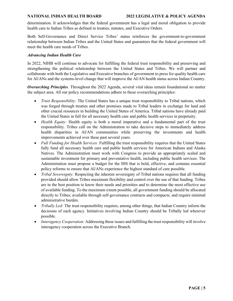determination. It acknowledges that the federal government has a legal and moral obligation to provide health care to Indian Tribes as defined in treaties, statutes, and Executive Orders.

Both Self-Governance and Direct Service Tribes' status reinforces the government-to-government relationship between Indian Tribes and the United States and guarantees that the federal government will meet the health care needs of Tribes.

#### *Advancing Indian Health Care*

In 2022, NIHB will continue to advocate for fulfilling the federal trust responsibility and preserving and strengthening the political relationship between the United States and Tribes. We will partner and collaborate with both the Legislative and Executive branches of government to press for quality health care for AI/ANs and the systems-level change that will improve the AI/AN health status across Indian Country.

*Overarching Principles.* Throughout the 2022 Agenda, several vital ideas remain foundational no matter the subject area. All our policy recommendations adhere to these overarching principles:

- *Trust Responsibility:* The United States has a unique trust responsibility to Tribal nations, which was forged through treaties and other promises made to Tribal leaders in exchange for land and other crucial resources in building the United States of America. Tribal nations have already paid the United States in full for all necessary health care and public health services in perpetuity.
- *Health Equity:* Health equity is both a moral imperative and a fundamental part of the trust responsibility. Tribes call on the Administration to take decisive steps to immediately address health disparities in AI/AN communities while preserving the investments and health improvements achieved over these past several years.
- *Full Funding for Health Services:* Fulfilling the trust responsibility requires that the United States fully fund all necessary health care and public health services for American Indians and Alaska Natives. The Administration must work with Congress to provide an appropriately scaled and sustainable investment for primary and preventative health, including public health services. The Administration must propose a budget for the IHS that is bold, effective, and contains essential policy reforms to ensure that AI/ANs experience the highest standard of care possible.
- *Tribal Sovereignty:* Respecting the inherent sovereignty of Tribal nations requires that all funding provided should allow Tribes maximum flexibility and control over the use of that funding. Tribes are in the best position to know their needs and priorities and to determine the most effective use of available funding. To the maximum extent possible, all government funding should be allocated directly to Tribes; available through self-governance contracts and compacts; and require minimal administrative burden.
- *Tribally Led:* The trust responsibility requires, among other things, that Indian Country inform the decisions of each agency. Initiatives involving Indian Country should be Tribally led wherever possible.
- *Interagency Cooperation:* Addressing these issues and fulfilling the trust responsibility will involve interagency cooperation across the Executive Branch.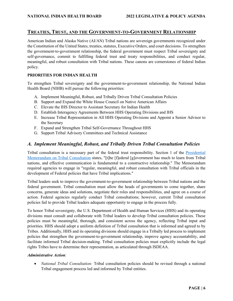### <span id="page-5-0"></span>**TREATIES, TRUST, AND THE GOVERNMENT-TO-GOVERNMENT RELATIONSHIP**

American Indian and Alaska Native (AI/AN) Tribal nations are sovereign governments recognized under the Constitution of the United States, treaties, statutes, Executive Orders, and court decisions. To strengthen the government-to-government relationship, the federal government must respect Tribal sovereignty and self-governance, commit to fulfilling federal trust and treaty responsibilities, and conduct regular, meaningful, and robust consultation with Tribal nations. These canons are cornerstones of federal Indian policy.

#### **PRIORITIES FOR INDIAN HEALTH**

To strengthen Tribal sovereignty and the government-to-government relationship, the National Indian Health Board (NIHB) will pursue the following priorities:

- A. Implement Meaningful, Robust, and Tribally Driven Tribal Consultation Policies
- B. Support and Expand the White House Council on Native American Affairs
- C. Elevate the IHS Director to Assistant Secretary for Indian Health
- D. Establish Interagency Agreements Between HHS Operating Divisions and IHS
- E. Increase Tribal Representation in All HHS Operating Divisions and Appoint a Senior Advisor to the Secretary
- F. Expand and Strengthen Tribal Self-Governance Throughout HHS
- G. Support Tribal Advisory Committees and Technical Assistance

### <span id="page-5-1"></span>*A. Implement Meaningful, Robust, and Tribally Driven Tribal Consultation Policies*

Tribal consultation is a necessary part of the federal trust responsibility. Section 1 of the [Presidential](https://www.whitehouse.gov/briefing-room/presidential-actions/2021/01/26/memorandum-on-tribal-consultation-and-strengthening-nation-to-nation-relationships/)  [Memorandum on Tribal Consultation](https://www.whitehouse.gov/briefing-room/presidential-actions/2021/01/26/memorandum-on-tribal-consultation-and-strengthening-nation-to-nation-relationships/) states, "[t]he [f]ederal [g]overnment has much to learn from Tribal nations, and effective communication is fundamental to a constructive relationship." The Memorandum required agencies to engage in "regular, meaningful, and robust consultation with Tribal officials in the development of Federal policies that have Tribal implications."

Tribal leaders seek to improve the government-to-government relationship between Tribal nations and the federal government. Tribal consultation must allow the heads of governments to come together, share concerns, generate ideas and solutions, negotiate their roles and responsibilities, and agree on a course of action. Federal agencies regularly conduct Tribal consultations; however, current Tribal consultation policies fail to provide Tribal leaders adequate opportunity to engage in the process fully.

To honor Tribal sovereignty, the U.S. Department of Health and Human Services (HHS) and its operating divisions must consult and collaborate with Tribal leaders to develop Tribal consultation policies. These policies must be meaningful, thorough, and consistent across the agency, reflecting Tribal input and priorities. HHS should adopt a uniform definition of Tribal consultation that is informed and agreed to by Tribes. Additionally, HHS and its operating divisions should engage in a Tribally led process to implement policies that strengthen the government-to-government relationship, improve agency accountability, and facilitate informed Tribal decision-making. Tribal consultation policies must explicitly include the legal rights Tribes have to determine their representation, as articulated through ISDEAA.

#### *Administrative Action*:

• *National Tribal Consultation:* Tribal consultation policies should be revised through a national Tribal engagement process led and informed by Tribal entities.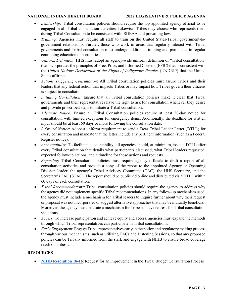- *Leadership:* Tribal consultation policies should require the top appointed agency official to be engaged in all Tribal consultation activities. Likewise, Tribes may choose who represents them during Tribal Consultation to be consistent with ISDEAA and prevailing law.
- *Training:* Agencies must require all staff to train on the United States-Tribal government-togovernment relationship. Further, those who work in areas that regularly interact with Tribal governments and Tribal consultation must undergo additional training and participate in regular continuing education opportunities.
- *Uniform Definition*: HHS must adopt an agency-wide uniform definition of "Tribal consultation" that incorporates the principles of Free, Prior, and Informed Consent (FPIC) that is consistent with the *United Nations Declaration of the Rights of Indigenous Peoples* (UNDRIP) that the United States affirmed.
- *Actions Triggering Consultation*: All Tribal consultation policies must assure Tribes and their leaders that any federal action that impacts Tribes or may impact how Tribes govern their citizens is subject to consultation.
- *Initiating Consultation*: Ensure that all Tribal consultation policies make it clear that Tribal governments and their representatives have the right to ask for consultation whenever they desire and provide proscribed steps to initiate a Tribal consultation.
- *Adequate Notice:* Ensure all Tribal Consultation policies require at least 30-day notice for consultation, with limited exceptions for emergency items. Additionally, the deadline for written input should be at least 60 days or more following the consultation date.
- *Informed Notice*: Adopt a uniform requirement to send a Dear Tribal Leader Letter (DTLL) for every consultation and mandate that the letter include any pertinent information (such as a Federal Register notice).
- *Accountability*: To facilitate accountability, all agencies should, at minimum, issue a DTLL after every Tribal consultation that details what participants discussed, what Tribal leaders requested, expected follow-up actions, and a timeline for those actions and requests.
- *Reporting*: Tribal Consultation policies must require agency officials to draft a report of all consultation activities and provide a copy of the report to the appointed Agency or Operating Division leader, the agency's Tribal Advisory Committee (TAC), the HHS Secretary, and the Secretary's TAC (STAC). The report should be published online and distributed via a DTLL within 60 days of each consultation.
- *Tribal Recommendations:* Tribal consultation policies should require the agency to address why the agency did not implement specific Tribal recommendations. In any follow-up mechanism used, the agency must include a mechanism for Tribal leaders to inquire further about why their request or proposal was not incorporated or suggest alternative approaches that may be mutually beneficial. Moreover, the agency must institute a mechanism for Tribes to have redress for Tribal consultation violations.
- *Access:* To increase participation and achieve equity and access, agencies must expand the methods through which Tribal representatives can participate in Tribal consultations.
- *Early Engagement*: Engage Tribal representatives early in the policy and regulatory making process through various mechanisms, such as utilizing TACs and Listening Sessions, so that any proposed policies can be Tribally informed from the start, and engage with NIHB to ensure broad coverage reach of Tribes and.

### **RESOURCES**

• **[NIHB Resolution 18-16](https://www.nihb.org/docs/08272018/NIHB%20Resolution%2018-16%20NIHB%20on%20Budget%20consultation%20process.pdf):** Request for an improvement in the Tribal Budget Consultation Process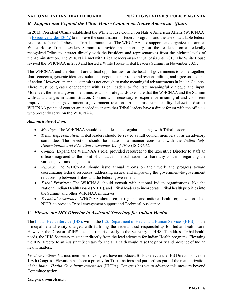### <span id="page-7-0"></span>*B. Support and Expand the White House Council on Native American Affairs*

In 2013, President Obama established the White House Council on Native American Affairs (WHCNAA) in [Executive Order 13647](https://www.federalregister.gov/documents/2013/07/01/2013-15942/establishing-the-white-house-council-on-native-american-affairs) to improve the coordination of federal programs and the use of available federal resources to benefit Tribes and Tribal communities. The WHCNAA also supports and organizes the annual White House Tribal Leaders Summit to provide an opportunity for the leaders from all federally recognized Tribes to interact directly with the President and representatives from the highest levels of the Administration. The WHCNAA met with Tribal leaders on an annual basis until 2017. The White House revived the WHCNAA in 2020 and hosted a White House Tribal Leaders Summit in November 2021.

The WHCNAA and the Summit are critical opportunities for the heads of governments to come together, share concerns, generate ideas and solutions, negotiate their roles and responsibilities, and agree on a course of action. However, an annual summit is not enough to make meaningful advancements in Indian Country. There must be greater engagement with Tribal leaders to facilitate meaningful dialogue and input. Moreover, the federal government must establish safeguards to ensure that the WHCNAA and the Summit withstand changes in administration. Continuity is necessary to experience meaningful and consistent improvement in the government-to-government relationship and trust responsibility. Likewise, distinct WHCNAA points of contact are needed to ensure that Tribal leaders have a direct forum with the officials who presently serve on the WHCNAA.

#### *Administrative Action:*

- *Meetings*: The WHCNAA should hold at least six regular meetings with Tribal leaders.
- *Tribal Representation:* Tribal leaders should be seated as full council members or as an advisory committee. The selection should be made in a manner consistent with the *Indian Self-Determination and Education Assistance Act of 1975* (ISDEAA).
- *Contact*: Expand the WHCNAA's role; provided resources to the Executive Director to staff an office designated as the point of contact for Tribal leaders to share any concerns regarding the various government agencies.
- *Reports*: The WHCNAA should issue annual reports on their work and progress toward coordinating federal resources, addressing issues, and improving the government-to-government relationship between Tribes and the federal government.
- *Tribal Priorities*: The WHCNAA should consult with national Indian organizations, like the National Indian Health Board (NIHB), and Tribal leaders to incorporate Tribal health priorities into the Summit and other WHCNAA initiatives.
- *Technical Assistance:* WHCNAA should enlist regional and national health organizations, like NIHB, to provide Tribal engagement support and Technical Assistance.

### <span id="page-7-1"></span>*C. Elevate the IHS Director to Assistant Secretary for Indian Health*

The [Indian Health Service \(IHS\),](https://www.ihs.gov/) within the U.S. Department [of Health and Human Services \(HHS\),](https://hhs.gov/) is the principal federal entity charged with fulfilling the federal trust responsibility for Indian health care. However, the Director of IHS does not report directly to the Secretary of HHS. To address Tribal health needs, the HHS Secretary must hear directly from the lead advocate for Indian Health programs. Elevating the IHS Director to an Assistant Secretary for Indian Health would raise the priority and presence of Indian health matters.

*Previous Actions.* Various members of Congress have introduced Bills to elevate the IHS Director since the 108th Congress. Elevation has been a priority for Tribal nations and put forth as part of the reauthorization of the *Indian Health Care Improvement Act* (IHCIA). Congress has yet to advance this measure beyond Committee action.

#### *Congressional Action:*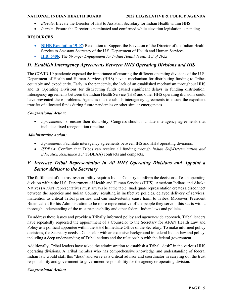- *Elevate*: Elevate the Director of IHS to Assistant Secretary for Indian Health within HHS.
- *Interim:* Ensure the Director is nominated and confirmed while elevation legislation is pending.

#### **RESOURCES**

- **[NIHB Resolution 19-07](https://www.nihb.org/docs/09162019/19-07%20NIHB%20Resolution%20Elevating%20IHS%20Director%20Position%20to%20Assistant%20Secretary%20of%20HHS.pdf)**: Resolution to Support the Elevation of the Director of the Indian Health Service to Assistant Secretary of the U.S. Department of Health and Human Services
- **[H.R. 6406](https://www.congress.gov/bill/117th-congress/house-bill/6406/all-info)**: The *Stronger Engagement for Indian Health Needs Act of 2022*

### <span id="page-8-0"></span>*D. Establish Interagency Agreements Between HHS Operating Divisions and IHS*

The COVID-19 pandemic exposed the importance of ensuring the different operating divisions of the U.S. Department of Health and Human Services (HHS) have a mechanism for distributing funding to Tribes equitably and expediently. Early in the pandemic, the lack of an established mechanism throughout HHS and its Operating Divisions for distributing funds caused significant delays in funding distribution. Interagency agreements between the Indian Health Service (IHS) and other HHS operating divisions could have prevented these problems. Agencies must establish interagency agreements to ensure the expedient transfer of allocated funds during future pandemics or other similar emergencies.

#### *Congressional Action:*

• *Agreements*: To ensure their durability, Congress should mandate interagency agreements that include a fixed renegotiation timeline.

#### *Administrative Action:*

- *Agreements:* Facilitate interagency agreements between IHS and HHS operating divisions.
- *ISDEAA*: Confirm that Tribes can receive all funding through *Indian Self-Determination and Education Assistance Act* (ISDEAA) contracts and compacts.

### <span id="page-8-1"></span>*E. Increase Tribal Representation in All HHS Operating Divisions and Appoint a Senior Advisor to the Secretary*

The fulfillment of the trust responsibility requires Indian Country to inform the decisions of each operating division within the U.S. Department of Health and Human Services (HHS). American Indians and Alaska Natives (AI/AN) representatives must always be at the table. Inadequate representation creates a disconnect between the agencies and Indian Country, resulting in ineffective policies, delayed delivery of services, inattention to critical Tribal priorities, and can inadvertently cause harm to Tribes. Moreover, President Biden called for his Administration to be more representative of the people they serve – this starts with a thorough understanding of the trust responsibility and other federal Indian laws and policies.

To address these issues and provide a Tribally informed policy and agency-wide approach, Tribal leaders have repeatedly requested the appointment of a Counselor to the Secretary for AI/AN Health Law and Policy as a political appointee within the HHS Immediate Office of the Secretary. To make informed policy decisions, the Secretary needs a Counselor with an extensive background in federal Indian law and policy, including a deep understanding of Tribal nations and the relationship with the federal government.

Additionally, Tribal leaders have asked the administration to establish a Tribal "desk" in the various HHS operating divisions. A Tribal member who has comprehensive knowledge and understanding of federal Indian law would staff this "desk" and serve as a critical advisor and coordinator in carrying out the trust responsibility and government-to-government responsibility for the agency or operating division.

### *Congressional Action:*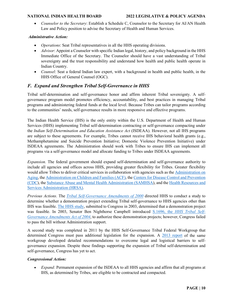• *Counselor to the Secretary*: Establish a Schedule C, Counselor to the Secretary for AI/AN Health Law and Policy position to advise the Secretary of Health and Human Services.

#### *Administrative Action:*

- *Operations*: Seat Tribal representatives in all the HHS operating divisions.
- *Advisor*: Appoint a Counselor with specific Indian legal, history, and policy background in the HHS Immediate Office of the Secretary. The Counselor should have a vast understanding of Tribal sovereignty and the trust responsibility and understand how health and public health operate in Indian Country.
- *Counsel*: Seat a federal Indian law expert, with a background in health and public health, in the HHS Office of General Counsel (OGC).

### <span id="page-9-0"></span>*F. Expand and Strengthen Tribal Self-Governance in HHS*

Tribal self-determination and self-governance honor and affirm inherent Tribal sovereignty. A selfgovernance program model promotes efficiency, accountability, and best practices in managing Tribal programs and administering federal funds at the local level. Because Tribes can tailor programs according to the communities' needs, self-governance results in more responsive and effective programs.

The Indian Health Service (IHS) is the only entity within the U.S. Department of Health and Human Services (HHS) implementing Tribal self-determination contracting or self-governance compacting under the *Indian Self-Determination and Education Assistance Act* (ISDEAA). However, not all IHS programs are subject to these agreements. For example, Tribes cannot receive IHS behavioral health grants (e.g., Methamphetamine and Suicide Prevention Initiative; Domestic Violence Prevention Initiative) under ISDEAA agreements. The Administration should work with Tribes to ensure IHS can implement all programs via a self-governance model and allocate funding to Tribes under ISDEAA agreements.

*Expansion.* The federal government should expand self-determination and self-governance authority to include all agencies and offices across HHS, providing greater flexibility for Tribes. Greater flexibility would allow Tribes to deliver critical services in collaboration with agencies such as the [Administration on](https://acl.gov/about-acl/administration-aging)  [Aging,](https://acl.gov/about-acl/administration-aging) th[e Administration on Children and Families \(ACF\),](https://www.acf.hhs.gov/) the [Centers for Disease Control and Prevention](https://www.cdc.gov/)  [\(CDC\)](https://www.cdc.gov/), the [Substance Abuse and Mental Health Administration \(SAMHSA\)](https://www.samhsa.gov/), and the [Health Resources and](https://www.hrsa.gov/)  [Services Administration \(HRSA\).](https://www.hrsa.gov/)

*Previous Actions.* The *[Tribal Self-Governance Amendments of 2000](https://www.congress.gov/106/plaws/publ260/PLAW-106publ260.pdf)* directed HHS to conduct a study to determine whether a demonstration project extending Tribal self-governance to HHS agencies other than IHS was feasible. [The HHS study,](https://aspe.hhs.gov/reports/tribal-self-governance-demonstration-feasibility-study) submitted to Congress in 2003, determined that a demonstration project was feasible. In 2003, Senator Ben Nighthorse Campbell introduced S.1696, the *[HHS Tribal Self-](https://www.congress.gov/bill/108th-congress/senate-bill/1696)[Governance Amendments Act of 2004](https://www.congress.gov/bill/108th-congress/senate-bill/1696)*, to authorize these demonstration projects; however, Congress failed to pass the bill without Administration support.

A second study was completed in 2011 by the HHS Self-Governance Tribal Federal Workgroup that determined Congress must pass additional legislation for the expansion. A [2013 report](https://www.tribalselfgov.org/wp-content/uploads/2015/05/SGTFWG_FinalReport_2013.pdf) of the same workgroup developed detailed recommendations to overcome legal and logistical barriers to selfgovernance expansion. Despite these findings supporting the expansion of Tribal self-determination and self-governance, Congress has yet to act.

#### *Congressional Action:*

• *Expand:* Permanent expansion of the ISDEAA to all HHS agencies and affirm that all programs at IHS, as determined by Tribes, are eligible to be contracted and compacted.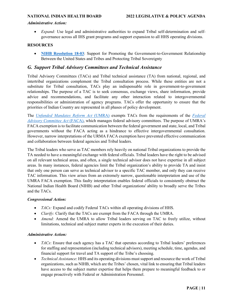#### *Administrative Action:*

• *Expand:* Use legal and administrative authorities to expand Tribal self-determination and selfgovernance across all IHS grant programs and support expansion to all HHS operating divisions.

#### **RESOURCES**

• **[NIHB Resolution 18-03](https://www.nihb.org/docs/02062018/NIHB%20Resolution%2018-03%20Civil%20Rights%20Resolution.pdf)**: Support for Promoting the Government-to-Government Relationship Between the United States and Tribes and Protecting Tribal Sovereignty

### <span id="page-10-0"></span>*G. Support Tribal Advisory Committees and Technical Assistance*

Tribal Advisory Committees (TACs) and Tribal technical assistance (TA) from national, regional, and intertribal organizations complement the Tribal consultation process. While these entities are not a substitute for Tribal consultation, TACs play an indispensable role in government-to-government relationships. The purpose of a TAC is to seek consensus, exchange views, share information, provide advice and recommendations, and facilitate any other interaction related to intergovernmental responsibilities or administration of agency programs. TACs offer the opportunity to ensure that the priorities of Indian Country are represented in all phases of policy development.

The *[Unfunded Mandates Reform Act](https://www.law.cornell.edu/uscode/text/2/1534)* (UMRA) exempts TACs from the requirements of the *[Federal](https://www.gsa.gov/policy-regulations/policy/federal-advisory-committee-act-faca-management-overview)  [Advisory Committee Act](https://www.gsa.gov/policy-regulations/policy/federal-advisory-committee-act-faca-management-overview)* (FACA), which manages federal advisory committees. The purpose of UMRA's FACA exemption is to facilitate communication between the federal government and state, local, and Tribal governments without the FACA acting as a hindrance to effective intergovernmental consultation. However, narrow interpretations of the URMA FACA exemption have prevented effective communication and collaboration between federal agencies and Tribal leaders.

The Tribal leaders who serve as TAC members rely heavily on national Tribal organizations to provide the TA needed to have a meaningful exchange with federal officials. Tribal leaders have the right to be advised on all relevant technical areas, and often, a single technical advisor does not have expertise in all subject areas. In many instances, federal agencies limit the Tribal organization's ability to provide TA and insist that only one person can serve as technical advisor to a specific TAC member, and only they can receive TAC information. This view arises from an extremely narrow, questionable interpretation and use of the UMRA FACA exemption. This faulty interpretation enables federal officials to consistently obstruct the National Indian Health Board (NIHB) and other Tribal organizations' ability to broadly serve the Tribes and the TACs.

#### *Congressional Action:*

- *TACs:* Expand and codify Federal TACs within all operating divisions of HHS.
- *Clarify:* Clarify that the TACs are exempt from the FACA through the UMRA.
- *Amend:* Amend the UMRA to allow Tribal leaders serving on TAC to freely utilize, without limitations, technical and subject matter experts in the execution of their duties.

#### *Administrative Action:*

- *TACs*: Ensure that each agency has a TAC that operates according to Tribal leaders' preferences for staffing and representation (including technical advisors), meeting schedule, time, agendas, and financial support for travel and TA support of the Tribe's choosing.
- *Technical Assistance*: HHS and its operating divisions must support and resource the work of Tribal organizations, such as NIHB, which are the Tribes' chosen, vital link to ensuring that Tribal leaders have access to the subject matter expertise that helps them prepare to meaningful feedback to or engage proactively with Federal or Administration Personnel.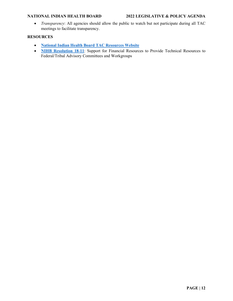• *Transparency*: All agencies should allow the public to watch but not participate during all TAC meetings to facilitate transparency.

### **RESOURCES**

- **[National Indian Health Board](https://www.nihb.org/tribal_resources/committees.php) TAC Resources Website**
- **[NIHB Resolution 18-11](https://www.nihb.org/docs/05282019/NIHB%20Resolution%2018-11%20Requesting%20Resources%20to%20Support%20Workgroups.pdf)**: Support for Financial Resources to Provide Technical Resources to Federal/Tribal Advisory Committees and Workgroups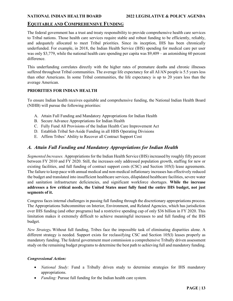### <span id="page-12-0"></span>**EQUITABLE AND COMPREHENSIVE FUNDING**

The federal government has a trust and treaty responsibility to provide comprehensive health care services to Tribal nations. Those health care services require stable and robust funding to be efficiently, reliably, and adequately allocated to meet Tribal priorities. Since its inception, IHS has been chronically underfunded. For example, in 2018, the Indian Health Service (IHS) spending for medical care per user was only \$3,779, while the national health care spending per capita was \$9,409 – an astonishing 60 percent difference.

This underfunding correlates directly with the higher rates of premature deaths and chronic illnesses suffered throughout Tribal communities. The average life expectancy for all AI/AN people is 5.5 years less than other Americans. In some Tribal communities, the life expectancy is up to 20 years less than the average American.

### **PRIORITIES FOR INDIAN HEALTH**

To ensure Indian health receives equitable and comprehensive funding, the National Indian Health Board (NIHB) will pursue the following priorities:

- A. Attain Full Funding and Mandatory Appropriations for Indian Health
- B. Secure Advance Appropriations for Indian Health
- C. Fully Fund All Provisions of the Indian Health Care Improvement Act
- D. Establish Tribal Set-Aside Funding in all HHS Operating Divisions
- E. Affirm Tribes' Ability to Recover all Contract Support Cost

### <span id="page-12-1"></span>*A. Attain Full Funding and Mandatory Appropriations for Indian Health*

*Segmented Increases.* Appropriations for the Indian Health Service (IHS) increased by roughly fifty percent between FY 2010 and FY 2020. Still, the increases only addressed population growth, staffing for new or existing facilities, and full funding of contract support costs (CSC) and Section 105(l) lease agreements. The failure to keep pace with annual medical and non-medical inflationary increases has effectively reduced the budget and translated into insufficient healthcare services, dilapidated healthcare facilities, severe water and sanitation infrastructure deficiencies, and significant workforce shortages. **While the increase addresses a few critical needs, the United States must fully fund the entire IHS budget, not just segments of it.**

Congress faces internal challenges in passing full funding through the discretionary appropriations process. The Appropriations Subcommittee on Interior, Environment, and Related Agencies, which has jurisdiction over IHS funding (and other programs) had a restrictive spending cap of only \$36 billion in FY 2020. This limitation makes it extremely difficult to achieve meaningful increases to and full funding of the IHS budget.

*New Strategy.* Without full funding, Tribes face the impossible task of eliminating disparities alone. A different strategy is needed. Support exists for reclassifying CSC and Section 105(l) leases properly as mandatory funding. The federal government must commission a comprehensive Tribally driven assessment study on the remaining budget programs to determine the best path to achieving full and mandatory funding.

#### *Congressional Action:*

- *National Study:* Fund a Tribally driven study to determine strategies for IHS mandatory appropriations.
- *Funding:* Pursue full funding for the Indian health care system*.*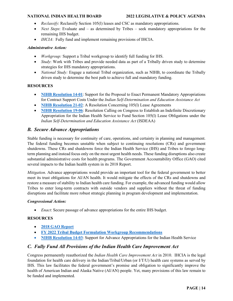- *Reclassify*: Reclassify Section 105(l) leases and CSC as mandatory appropriations.
- *Next Steps*: Evaluate and as determined by Tribes seek mandatory appropriations for the remaining IHS budget.
- *IHCIA*: Fully fund and implement remaining provisions of IHCIA.

#### *Administrative Action:*

- *Workgroup:* Support a Tribal workgroup to identify full funding for IHS.
- *Study*: Work with Tribes and provide needed data as part of a Tribally driven study to determine strategies for IHS mandatory appropriations.
- *National Study:* Engage a national Tribal organization, such as NIHB, to coordinate the Tribally driven study to determine the best path to achieve full and mandatory funding.

#### **RESOURCES**

- **[NIHB Resolution 14-01](https://www.nihb.org/docs/10172016/Resoultions%20for%20Website/2014/NIHB%20Resolution%2014-01.pdf)**: Support for the Proposal to Enact Permanent Mandatory Appropriations for Contract Support Costs Under the *Indian Self-Determination and Education Assistance Act*
- **[NIHB Resolution 21-02](https://www.nihb.org/docs/03012021/21-02_NIHB%20Resolution%20Concerning%20105(l)%20leases.pdf):** A Resolution Concerning 105(1) Lease Agreements
- **[NIHB Resolution 19-06](https://www.nihb.org/docs/09162019/19-06%20NIHB%20Resolution%20on%20105L%20Leases.pdf)**: Resolution Calling on Congress to Establish an Indefinite Discretionary Appropriation for the Indian Health Service to Fund Section 105(l) Lease Obligations under the *Indian Self-Determination and Education Assistance Act* (ISDEAA)

### <span id="page-13-0"></span>*B. Secure Advance Appropriations*

Stable funding is necessary for continuity of care, operations, and certainty in planning and management. The federal funding becomes unstable when subject to continuing resolutions (CRs) and government shutdowns. These CRs and shutdowns force the Indian Health Service (IHS) and Tribes to forego longterm planning and instead focus only on the most urgent health needs. These funding disruptions also create substantial administrative costs for health programs. The Government Accountability Office (GAO) cited several impacts to the Indian health system in its 2018 Report.

*Mitigation*. Advance appropriations would provide an important tool for the federal government to better meet its trust obligations for AI/AN health. It would mitigate the effects of the CRs and shutdowns and restore a measure of stability to Indian health care funding. For example, the advanced funding would allow Tribes to enter long-term contracts with outside vendors and suppliers without the threat of funding disruptions and facilitate more robust strategic planning in program development and implementation.

#### *Congressional Action:*

• *Enact*: Secure passage of advance appropriations for the entire IHS budget.

#### **RESOURCES**

- **[2018 GAO Report](https://www.gao.gov/assets/gao-18-652.pdf)**
- **[FY 2022 Tribal Budget Formulation Workgroup Recommendations](https://www.nihb.org/docs/05042020/FINAL_FY22%20IHS%20Budget%20Book.pdf)**
- **[NIHB Resolution](https://www.nihb.org/docs/07092019/NIHB%20Resolution%2014-03%20Advanced%20Appropriations%20for%20the%20Indian%20Health%20Serv....pdf) 14-03**: Support for Advance Appropriations for the Indian Health Service

### <span id="page-13-1"></span>*C. Fully Fund All Provisions of the Indian Health Care Improvement Act*

Congress permanently reauthorized the *Indian Health Care Improvement Act* in 2010. IHCIA is the legal foundation for health care delivery in the Indian/Tribal/Urban (or I/T/U) health care systems as served by IHS. This law facilitates the federal government's promise and obligation to significantly improve the health of American Indian and Alaska Native (AI/AN) people. Yet, many provisions of this law remain to be funded and implemented.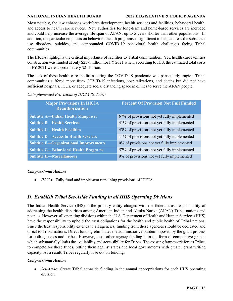#### **NATIONAL INDIAN HEALTH BOARD 2022 LEGISLATIVE & POLICY AGENDA**

Most notably, the law enhances workforce development, health services and facilities, behavioral health, and access to health care services. New authorities for long-term and home-based services are included and could help increase the average life span of AI/AN, up to 5 years shorter than other populations. In addition, the particular emphasis on behavioral health programs is significant to help address the substance use disorders, suicides, and compounded COVID-19 behavioral health challenges facing Tribal communities.

The IHCIA highlights the critical importance of facilities to Tribal communities. Yet, health care facilities construction was funded at only \$259 million for FY 2021 when, according to IHS, the estimated total costs in FY 2021 were approximately \$21 billion.

The lack of these health care facilities during the COVID-19 pandemic was particularly tragic. Tribal communities suffered more from COVID-19 infections, hospitalizations, and deaths but did not have sufficient hospitals, ICUs, or adequate social distancing space in clinics to serve the AI/AN people.

| <b>Major Provisions In IHCIA</b><br><b>Reauthorization</b> | <b>Percent Of Provision Not Full Funded</b> |
|------------------------------------------------------------|---------------------------------------------|
| <b>Subtitle A—Indian Health Manpower</b>                   | 67% of provisions not yet fully implemented |
| <b>Subtitle B-Health Services</b>                          | 41% of provisions not yet fully implemented |
| <b>Subtitle C – Health Facilities</b>                      | 43% of provisions not yet fully implemented |
| <b>Subtitle D-Access to Health Services</b>                | 11% of provisions not yet fully implemented |
| <b>Subtitle F-Organizational Improvements</b>              | 0% of provisions not yet fully implemented  |
| <b>Subtitle G-Behavioral Health Programs</b>               | 57% of provisions not yet fully implemented |
| <b>Subtitle H-Miscellaneous</b>                            | 9% of provisions not yet fully implemented  |

*Unimplemented Provisions of IHCIA (S. 1790)*

#### *Congressional Action:*

• *IHCIA*: Fully fund and implement remaining provisions of IHCIA.

### <span id="page-14-0"></span>*D. Establish Tribal Set-Aside Funding in all HHS Operating Divisions*

The Indian Health Service (IHS) is the primary entity charged with the federal trust responsibility of addressing the health disparities among American Indian and Alaska Native (AI/AN) Tribal nations and peoples. However, all operating divisions within the U.S. Department of Health and Human Services (HHS) have the responsibility to uphold the trust obligations for the health and public health of Tribal nations. Since the trust responsibility extends to all agencies, funding from these agencies should be dedicated and direct to Tribal nations. Direct funding eliminates the administrative burden imposed by the grant process for both agencies and Tribes. However, most other agency funding is in the form of competitive grants, which substantially limits the availability and accessibility for Tribes. The existing framework forces Tribes to compete for these funds, pitting them against states and local governments with greater grant writing capacity. As a result, Tribes regularly lose out on funding.

#### *Congressional Action:*

• *Set-Aside:* Create Tribal set-aside funding in the annual appropriations for each HHS operating division.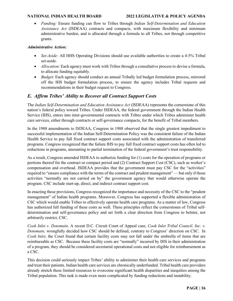• *Funding:* Ensure funding can flow to Tribes through *Indian Self-Determination and Education Assistance Act* (ISDEAA) contracts and compacts, with maximum flexibility and minimum administrative burden, and is allocated through a formula to all Tribes, not through competitive grants.

#### *Administrative Action:*

- *Set-Aside:* All HHS Operating Divisions should use available authorities to create a 4-5% Tribal set-aside.
- *Allocation*: Each agency must work with Tribes through a consultative process to devise a formula, to allocate funding equitably.
- *Budget*: Each agency should conduct an annual Tribally led budget formulation process, mirrored off the IHS budget formulation process, to ensure the agency includes Tribal requests and recommendations in their budget request to Congress.

### <span id="page-15-0"></span>*E. Affirm Tribes' Ability to Recover all Contract Support Costs*

The *Indian Self-Determination and Education Assistance Act* (ISDEAA) represents the cornerstone of this nation's federal policy toward Tribes. Under ISDEAA, the federal government through the Indian Health Service (IHS), enters into inter-governmental contracts with Tribes under which Tribes administer health care services, either through contracts or self-governance compacts, for the benefit of Tribal members.

In the 1988 amendments to ISDEAA, Congress in 1988 observed that the single greatest impediment to successful implementation of the Indian Self-Determination Policy was the consistent failure of the Indian Health Service to pay full fixed contract support costs associated with the administration of transferred programs. Congress recognized that the failure IHS to pay full fixed contract support costs has often led to reductions in programs, amounting to partial termination of the federal government's trust responsibility.

As a result, Congress amended ISDEAA to authorize funding for (1) costs for the operation of programs or portions thereof for the contract or compact period and (2) Contract Support Cost (CSC), such as worker's compensation and overhead. ISDEAA provides that the government must pay CSC for the "activities" required to "ensure compliance with the terms of the contract and prudent management" — but only if those activities "normally are not carried on by" the government agency that would otherwise operate the program. CSC include start-up, direct, and indirect contract support cost.

In enacting these provisions, Congress recognized the importance and necessity of the CSC to the "prudent management" of Indian health programs. Moreover, Congress has supported a flexible administration of CSC which would enable Tribes to effectively operate health care programs. As a matter of law, Congress has authorized full funding of these costs as well. These principles reflect the cornerstones of Tribal selfdetermination and self-governance policy and set forth a clear direction from Congress to bolster, not arbitrarily restrict, CSC.

*Cook Inlet v. Dotomain*. A recent D.C. Circuit Court of Appeal case, *Cook Inlet Tribal Council, Inc. v. Dotomain,* wrongfully decided how CSC should be defined, contrary to Congress' direction on CSC. In *Cook Inlet*, the Court found that certain facility costs may not fall under the umbrella of items that are reimbursable as CSC. Because these facility costs are "normally" incurred by IHS in their administration of a program, they should be considered secretarial operational costs and not eligible for reimbursement as a CSC.

This decision could seriously impact Tribes' ability to administer their health care services and programs and treat their patients. Indian health care services are chronically underfunded. Tribal health care providers already stretch these limited resources to overcome significant health disparities and inequities among the Tribal population. This task is made even more complicated by funding reductions and instability.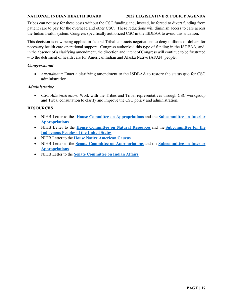#### **NATIONAL INDIAN HEALTH BOARD 2022 LEGISLATIVE & POLICY AGENDA**

Tribes can not pay for these costs without the CSC funding and, instead, be forced to divert funding from patient care to pay for the overhead and other CSC. These reductions will diminish access to care across the Indian health system. Congress specifically authorized CSC in the ISDEAA to avoid this situation.

This decision is now being applied in federal-Tribal contracts negotiations to deny millions of dollars for necessary health care operational support. Congress authorized this type of funding in the ISDEAA, and, in the absence of a clarifying amendment, the direction and intent of Congress will continue to be frustrated – to the detriment of health care for American Indian and Alaska Native (AI/AN) people.

#### *Congressional*

• *Amendment*: Enact a clarifying amendment to the ISDEAA to restore the status quo for CSC administration.

#### *Administrative*

• *CSC Administration:* Work with the Tribes and Tribal representatives through CSC workgroup and Tribal consultation to clarify and improve the CSC policy and administration.

#### **RESOURCES**

- NIHB Letter to the **[House Committee on Appropriations](https://www.nihb.org/docs/02072022/NIHB%20Letter%20to%20House%20Approps%20re%20CSC%20Legislative%20Fix%202-4-22.pdf)** and the **[Subcommittee on Interior](https://www.nihb.org/docs/02072022/NIHB%20Letter%20to%20House%20Int%20Approps%20re%20CSC%20Legislative%20Fix%202-4-22.pdf)  [Appropriations](https://www.nihb.org/docs/02072022/NIHB%20Letter%20to%20House%20Int%20Approps%20re%20CSC%20Legislative%20Fix%202-4-22.pdf)**
- NIHB Letter to the **[House Committee on Natural Resources](https://www.nihb.org/docs/02072022/NIHB%20Letter%20to%20House%20NR%20re%20CSC%20Legislative%20Fix%202-4-22.pdf)** and the **[Subcommittee for the](https://www.nihb.org/docs/02072022/NIHB%20Letter%20to%20House%20NR%20SCIP%20re%20CSC%20Legislative%20Fix%202-4-22.pdf)  [Indigenous Peoples of the United States](https://www.nihb.org/docs/02072022/NIHB%20Letter%20to%20House%20NR%20SCIP%20re%20CSC%20Legislative%20Fix%202-4-22.pdf)**
- NIHB Letter to the **[House Native American Caucus](https://www.nihb.org/docs/02072022/NIHB%20Letter%20to%20House%20NA%20Caucus%20re%20CSC%20Legislative%20Fix%202-4-22.pdf)**
- NIHB Letter to the **[Senate Committee on Appropriations](https://www.nihb.org/docs/02072022/NIHB%20Letter%20to%20Senate%20Approps%20re%20CSC%20Legislative%20Fix%202-4-22.pdf)** and the **[Subcommittee on Interior](https://www.nihb.org/docs/02072022/NIHB%20Letter%20to%20Senate%20Int%20Approps%20re%20CSC%20Legislative%20Fix%202-4-22.pdf)  [Appropriations](https://www.nihb.org/docs/02072022/NIHB%20Letter%20to%20Senate%20Int%20Approps%20re%20CSC%20Legislative%20Fix%202-4-22.pdf)**
- NIHB Letter to the **[Senate Committee on Indian Affairs](https://www.nihb.org/docs/02072022/NIHB%20Letter%20to%20SCIA%20re%20CSC%20Legislative%20Fix%202-4-22.pdf)**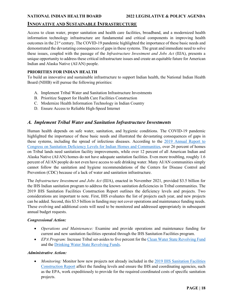### <span id="page-17-0"></span>**INNOVATIVE AND SUSTAINABLE INFRASTRUCTURE**

Access to clean water, proper sanitation and health care facilities, broadband, and a modernized health information technology infrastructure are fundamental and critical components in improving health outcomes in the 21<sup>st</sup> century. The COVID-19 pandemic highlighted the importance of these basic needs and demonstrated the devastating consequences of gaps in these systems. The great and immediate need to solve these issues, coupled with the passage of the *Infrastructure Investment and Jobs Act* (IIJA), presents a unique opportunity to address these critical infrastructure issues and create an equitable future for American Indian and Alaska Native (AI/AN) people.

#### **PRIORITIES FOR INDIAN HEALTH**

To build an innovative and sustainable infrastructure to support Indian health, the National Indian Health Board (NIHB) will pursue the following priorities:

- A. Implement Tribal Water and Sanitation Infrastructure Investments
- B. Prioritize Support for Health Care Facilities Construction
- C. Modernize Health Information Technology in Indian Country
- D. Ensure Access to Reliable High-Speed Internet

### <span id="page-17-1"></span>*A. Implement Tribal Water and Sanitation Infrastructure Investments*

Human health depends on safe water, sanitation, and hygienic conditions. The COVID-19 pandemic highlighted the importance of these basic needs and illustrated the devastating consequences of gaps in these systems, including the spread of infectious diseases. According to the 2019 [Annual Report to](https://www.ihs.gov/sites/newsroom/themes/responsive2017/display_objects/documents/FY_2019_RTC_Sanitation_Deficiencies_Report.pdf)  [Congress on Sanitation Deficiency Levels for Indian Homes and Communities,](https://www.ihs.gov/sites/newsroom/themes/responsive2017/display_objects/documents/FY_2019_RTC_Sanitation_Deficiencies_Report.pdf) over 26 percent of homes on Tribal lands need sanitation facility improvements, while over 12 percent of all American Indian and Alaska Native (AI/AN) homes do not have adequate sanitation facilities. Even more troubling, roughly 1.6 percent of AI/AN people do not even have access to safe drinking water. Many AI/AN communities simply cannot follow the sanitation and hygiene recommendations of the Centers for Disease Control and Prevention (CDC) because of a lack of water and sanitation infrastructure.

The *Infrastructure Investment and Jobs Act* (IIJA), enacted in November 2021, provided \$3.5 billion for the IHS Indian sanitation program to address the known sanitation deficiencies in Tribal communities. The 2019 IHS Sanitation Facilities Construction Report outlines the deficiency levels and projects. Two considerations are important to note. First, IHS evaluates the list of projects each year, and new projects can be added. Second, this \$3.5 billion in funding may not cover operations and maintenance funding needs. These evolving and additional costs will need to be monitored and addressed appropriately in subsequent annual budget requests.

#### *Congressional Action:*

- *Operations and Maintenance:* Examine and provide operations and maintenance funding for current and new sanitation facilities operated through the IHS Sanitation Facilities program.
- *EPA Program:* Increase Tribal set-asides to five percent for the [Clean Water State Revolving Fund](https://www.epa.gov/cwsrf) and the [Drinking Water State Revolving Funds.](https://www.epa.gov/dwsrf)

#### *Administrative Action:*

• *Monitoring:* Monitor how new projects not already included in the 2019 IHS Sanitation Facilities [Construction Report](https://www.ihs.gov/sites/newsroom/themes/responsive2017/display_objects/documents/FY_2019_RTC_Sanitation_Deficiencies_Report.pdf) affect the funding levels and ensure the IHS and coordinating agencies, such as the EPA, work expeditiously to provide for the required coordinated costs of specific sanitation projects.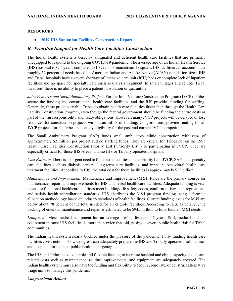#### **RESOURCES**

• **[2019 IHS Sanitation Facilities Construction Report](https://www.ihs.gov/sites/newsroom/themes/responsive2017/display_objects/documents/FY_2019_RTC_Sanitation_Deficiencies_Report.pdf)**

### <span id="page-18-0"></span>*B. Prioritize Support for Health Care Facilities Construction*

The Indian health system is beset by antiquated and deficient health care facilities that are primarily unequipped to respond to the ongoing COVID-19 pandemic. The average age of an Indian Health Service (IHS) hospital is 37.5 years, compared to 10 years for mainstream hospitals. IHS facilities can accommodate roughly 52 percent of needs based on American Indian and Alaska Native (AI/AN) population sizes. IHS and Tribal hospitals have a severe shortage of intensive care unit (ICU) beds or complete lack of inpatient facilities and no space for specialty care such as dialysis treatment. In small villages and remote Tribal locations, there is no ability to place a patient in isolation or quarantine.

*Joint Ventures and Small Ambulatory Project*. For the Joint Venture Construction Program (JVCP), Tribes secure the funding and construct the health care facilities, and the IHS provides funding for staffing. Generally, these projects enable Tribes to obtain health care facilities faster than through the Health Care Facility Construction Program, even though the federal government should be funding the entire costs as part of the trust responsibility and treaty obligations. However, many JVCP projects will be delayed or lose resources for construction projects without an influx of funding. Congress must provide funding for all JVCP projects for all Tribes that satisfy eligibility for the past and current JVCP competition.

The Small Ambulatory Program (SAP) funds small ambulatory clinic construction with caps of approximately \$2 million per project and no staffing funds. They are crucial for Tribes not on the 1993 Health Care Facilities Construction Priority List ("Priority List") or participating in JVCP. They are especially critical for those IHS Areas with no IHS or Tribally operated hospitals.

*Cost Estimate*. There is an urgent need to fund those facilities on the Priority List, JVCP, SAP, and specialty care facilities such as dialysis centers, long-term care facilities, and inpatient behavioral health care treatment facilities. According to IHS, the total cost for these facilities is approximately \$22 billion.

*Maintenance and Improvement*. Maintenance and Improvement (M&I) funds are the primary source for maintenance, repair, and improvements for IHS and Tribal health care facilities. Adequate funding is vital to ensure functional healthcare facilities meet building/life safety codes, conform to laws and regulations, and satisfy health accreditation standards. IHS distributes the M&I program funding using a formula allocation methodology based on industry standards of health facilities. Current funding levels for M&I are below about 78 percent of the total needed for all eligible facilities. According to IHS, as of 2021, the backlog of essential maintenance and repair is estimated to be \$945 million to fully fund all M&I needs.

*Equipment*. Most medical equipment has an average useful lifespan of 6 years. Still, medical and lab equipment in most IHS facilities is more than twice that old, posing a severe public health risk for Tribal communities.

The Indian health system nearly buckled under the pressure of the pandemic. Fully funding health care facilities construction is how Congress can adequately prepare the IHS and Tribally operated health clinics and hospitals for the next public health emergency.

The IHS and Tribes need equitable and flexible funding to increase hospital and clinic capacity and ensure related costs such as maintenance, routine improvements, and equipment are adequately covered. The Indian health system must also have the funding and flexibility to acquire, renovate, or construct alternative triage units to manage this pandemic.

#### *Congressional Action:*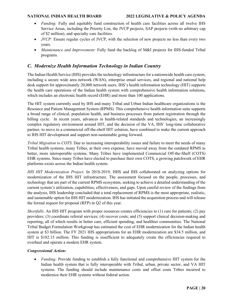- *Funding:* Fully and equitably fund construction of health care facilities across all twelve IHS Service Areas, including the Priority List, the JVCP projects, SAP projects (with no arbitrary cap of \$2 million), and specialty care facilities.
- *JVCP*: Ensure regular cycles of JVCP, with the selection of new projects no less than every two years.
- *Maintenance and Improvement:* Fully fund the backlog of M&I projects for IHS-funded Tribal programs.

### <span id="page-19-0"></span>*C. Modernize Health Information Technology in Indian Country*

The Indian Health Service (IHS) provides the technology infrastructure for a nationwide health care system, including a secure wide area network (WAN), enterprise email services, and regional and national help desk support for approximately 20,000 network users. IHS's health information technology (HIT) supports the health care operations of the Indian health system with comprehensive health information solutions, which includes an electronic health record (EHR) and more than 100 applications.

The HIT system currently used by IHS and many Tribal and Urban Indian healthcare organizations is the Resource and Patient Management System (RPMS). This comprehensive health information suite supports a broad range of clinical, population health, and business processes from patient registration through the billing cycle. In recent years, advances in health-related standards and technologies, an increasingly complex regulatory environment around HIT, and the decision of the VA, IHS' long-time collaborative partner, to move to a commercial off-the-shelf HIT solution, have combined to make the current approach to IHS HIT development and support non-sustainable going forward.

*Tribal Migration to COTS*. Due to increasing interoperability issues and failure to meet the needs of many Tribal health systems, many Tribes, at their own expense, have moved away from the outdated RPMS to better, more interoperable systems. Many Tribes have implemented Commercial Off-the-Shelf (COTS) EHR systems. Since many Tribes have elected to purchase their own COTS, a growing patchwork of EHR platforms exists across the Indian health system.

*IHS HIT Modernization Project.* In 2018-2019, HHS and IHS collaborated on analyzing options for modernization of the IHS HIT infrastructure. The assessment focused on the people, processes, and technology that are part of the current RPMS ecosystem, seeking to achieve a detailed understanding of the current system's utilization, capabilities, effectiveness, and gaps. Upon careful review of the findings from the analysis, IHS leadership concluded that a total replacement of RPMS is the most appropriate, realistic, and sustainable option for IHS HIT modernization. IHS has initiated the acquisition process and will release the formal request for proposal (RFP) in Q2 of this year.

*Shortfalls*. An IHS HIT program with proper resources creates efficiencies to (1) care for patients; (2) pay providers; (3) coordinate referral services; (4) recover costs; and (5) support clinical decision-making and reporting, all of which results in better care, efficient spending, and healthier communities. The National Tribal Budget Formulation Workgroup has estimated the cost of EHR modernization for the Indian health system at \$3 billion. The FY 2021 IHS appropriations for an EHR modernization are \$34.5 million, and HIT is \$182.15 million. This funding is insufficient to adequately create the efficiencies required to overhaul and operate a modern EHR system.

#### *Congressional Action:*

• *Funding:* Provide funding to establish a fully functional and comprehensive HIT system for the Indian health system that is fully interoperable with Tribal, urban, private sector, and VA HIT systems. The funding should include maintenance costs and offset costs Tribes incurred to modernize their EHR systems without federal action.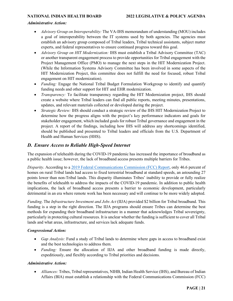#### *Administrative Action:*

- *Advisory Group on Interoperability:* The VA-IHS memorandum of understanding (MOU) includes a goal of interoperability between the IT systems used by both agencies. The agencies must establish an advisory group composed of Tribal leaders, Tribal technical assistants, subject matter experts, and federal representatives to ensure continued progress toward this goal.
- *Advisory Group on HIT Modernization:* IHS must establish a Tribal Advisory Committee (TAC) or another transparent engagement process to provide opportunities for Tribal engagement with the Project Management Office (PMO) to manage the next steps in the HIT Modernization Project. (While the Information Systems Advisory Committee has been involved in some aspects of the HIT Modernization Project, this committee does not fulfill the need for focused, robust Tribal engagement on HIT modernization).
- *Funding:* Engage the National Tribal Budget Formulation Workgroup to identify and quantify funding needs and other support for HIT and EHR modernization.
- *Transparency:* To facilitate transparency regarding the HIT Modernization project, IHS should create a website where Tribal leaders can find all public reports, meeting minutes, presentations, updates, and relevant materials collected or developed during the project.
- *Strategic Review:* IHS should conduct a strategic review of the IHS HIT Modernization Project to determine how the progress aligns with the project's key performance indicators and goals for stakeholder engagement, which included goals for robust Tribal governance and engagement in the project. A report of the findings, including how IHS will address any shortcomings identified, should be published and presented to Tribal leaders and officials from the U.S. Department of Health and Human Services (HHS).

### <span id="page-20-0"></span>*D. Ensure Access to Reliable High-Speed Internet*

The expansion of telehealth during the COVID-19 pandemic has increased the importance of broadband as a public health issue; however, the lack of broadband access presents multiple barriers for Tribes.

*Disparity*. According to a [2019 Federal Communications Commission \(FCC\) Report,](https://docs.fcc.gov/public/attachments/DOC-357269A1.pdf) only 46.6 percent of homes on rural Tribal lands had access to fixed terrestrial broadband at standard speeds, an astounding 27 points lower than non-Tribal lands. This disparity illuminates Tribes' inability to provide or fully realize the benefits of telehealth to address the impacts of the COVID-19 pandemic. In addition to public health implications, the lack of broadband access presents a barrier to economic development, particularly detrimental in an era where remote work has been necessary and will continue to be more widely adopted.

*Funding*. The *Infrastructure Investment and Jobs Act* (IIJA) provided \$2 billion for Tribal broadband. This funding is a step in the right direction. The IIJA programs should ensure Tribes can determine the best methods for expanding their broadband infrastructure in a manner that acknowledges Tribal sovereignty, particularly in protecting cultural resources. It is unclear whether the funding is sufficient to cover all Tribal lands and what areas, infrastructure, and services lack adequate funds.

#### *Congressional Action:*

- *Gap Analysis:* Fund a study of Tribal lands to determine where gaps in access to broadband exist and the best technologies to address them.
- *Funding:* Ensure the allocation of IIJA and other broadband funding is made directly, expeditiously, and flexibly according to Tribal priorities and decisions.

#### *Administrative Action:*

• *Alliances:* Tribes, Tribal representatives, NIHB, Indian Health Service (IHS), and Bureau of Indian Affairs (BIA) must establish a relationship with the Federal Communications Commission (FCC)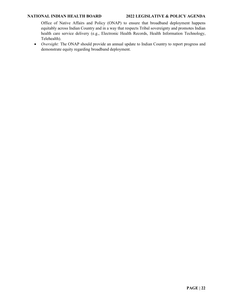#### **NATIONAL INDIAN HEALTH BOARD 2022 LEGISLATIVE & POLICY AGENDA**

Office of Native Affairs and Policy (ONAP) to ensure that broadband deployment happens equitably across Indian Country and in a way that respects Tribal sovereignty and promotes Indian health care service delivery (e.g., Electronic Health Records, Health Information Technology, Telehealth).

• *Oversight:* The ONAP should provide an annual update to Indian Country to report progress and demonstrate equity regarding broadband deployment.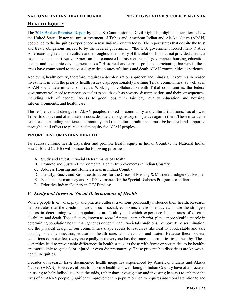### <span id="page-22-0"></span>**HEALTH EQUITY**

The [2018 Broken Promises Report](https://www.usccr.gov/files/pubs/2018/12-20-Broken-Promises.pdf) by the U.S. Commission on Civil Rights highlights in stark terms how the United States' historical unjust treatment of Tribes and American Indian and Alaska Native (AI/AN) people led to the inequities experienced across Indian Country today. The report states that despite the trust and treaty obligations agreed to by the federal government, "the U.S. government forced many Native Americans to give up their culture and, throughout the history of this relationship, has not provided adequate assistance to support Native American interconnected infrastructure, self-governance, housing, education, health, and economic development needs." Historical and current policies perpetuating barriers in these areas have contributed to the vast disparities in rates of illness and death AI/AN communities experience.

Achieving health equity, therefore, requires a decolonization approach and mindset. It requires increased investment in both the priority health issues disproportionately harming Tribal communities, as well as in AI/AN social determinants of health. Working in collaboration with Tribal communities, the federal government will need to remove obstacles to health such as poverty, discrimination, and their consequences, including lack of agency, access to good jobs with fair pay, quality education and housing, safe environments, and health care.

The resilience and strength of AI/AN peoples, rooted in community and cultural traditions, has allowed Tribes to survive and often beat the odds, despite the long history of injustice against them. These invaluable resources – including resilience, community, and rich cultural traditions – must be honored and supported throughout all efforts to pursue health equity for AI/AN peoples.

#### **PRIORITIES FOR INDIAN HEALTH**

To address chronic health disparities and promote health equity in Indian Country, the National Indian Health Board (NIHB) will pursue the following priorities:

- A. Study and Invest in Social Determinants of Health
- B. Promote and Sustain Environmental Health Improvements in Indian Country
- C. Address Housing and Homelessness in Indian Country
- D. Identify, Enact, and Resource Solutions for the Crisis of Missing & Murdered Indigenous People
- E. Establish Permanency and Self-Governance for the Special Diabetes Program for Indians
- F. Prioritize Indian Country in HIV Funding

### <span id="page-22-1"></span>*E. Study and Invest in Social Determinants of Health*

Where people live, work, play, and practice cultural traditions profoundly influence their health. Research demonstrates that the conditions around us – social, economic, environmental, etc. – are the strongest factors in determining which populations are healthy and which experience higher rates of disease, disability, and death. These factors, known as *social determinants of health*, play a more significant role in determining population health than genetics or health care. Societal conditions like poverty, discrimination, and the physical design of our communities shape access to resources like healthy food, stable and safe housing, social connection, education, health care, and clean air and water. Because these societal conditions do not affect everyone equally, not everyone has the same opportunities to be healthy. These disparities lead to preventable differences in health status, as those with fewer opportunities to be healthy are more likely to get sick or injured or even die prematurely. These preventable disparities are known as health inequities.

Decades of research have documented health inequities experienced by American Indians and Alaska Natives (AI/AN). However, efforts to improve health and well-being in Indian Country have often focused on trying to help individuals beat the odds, rather than investigating and investing in ways to enhance the lives of all AI/AN people. Significant improvement in population health requires additional attention to and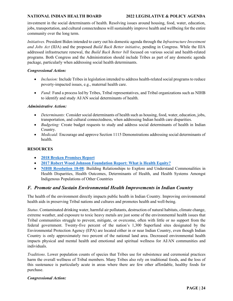#### **NATIONAL INDIAN HEALTH BOARD 2022 LEGISLATIVE & POLICY AGENDA**

investment in the social determinants of health. Resolving issues around housing, food, water, education, jobs, transportation, and cultural connectedness will sustainably improve health and wellbeing for the entire community over the long term.

*Initiatives*. President Biden intended to carry out his domestic agenda through the *Infrastructure Investment and Jobs Act* (IIJA) and the proposed *Build Back Better initiative*, pending in Congress. While the IIJA addressed infrastructure renewal, the *Build Back Better bill* focused on various social and health-related programs. Both Congress and the Administration should include Tribes as part of any domestic agenda package, particularly when addressing social health determinants.

#### *Congressional Action:*

- *Inclusion:* Include Tribes in legislation intended to address health-related social programs to reduce poverty-impacted issues, e.g., maternal health care.
- *Fund:* Fund a process led by Tribes, Tribal representatives, and Tribal organizations such as NIHB to identify and study AI/AN social determinants of health.

#### *Administrative Action:*

- *Determinants:* Consider social determinants of health such as housing, food, water, education, jobs, transportation, and cultural connectedness, when addressing Indian health care disparities.
- *Budgeting:* Create budget requests to study and address social determinants of health in Indian Country.
- *Medicaid:* Encourage and approve Section 1115 Demonstrations addressing social determinants of health.

#### **RESOURCES**

- **[2018 Broken Promises Report](https://www.usccr.gov/files/pubs/2018/12-20-Broken-Promises.pdf)**
- **2017 Robert Wood Johnson Foundation Report: What is Health Equity?**
- **[NIHB Resolution 18-08](https://www.nihb.org/docs/05232019/NIHB%20Resolution%2018-08%20Support%20for%20International%20Work%20-%20Final.pdf):** Building Relationships to Explore and Understand Commonalities in Health Disparities, Health Outcomes, Determinants of Health, and Health Systems Amongst Indigenous Populations of Other Countries

### <span id="page-23-0"></span>*F. Promote and Sustain Environmental Health Improvements in Indian Country*

The health of the environment directly impacts public health in Indian Country. Improving environmental health aids in preserving Tribal nations and cultures and promotes health and well-being.

*Status*. Contaminated drinking water, harmful air pollutants, destruction of natural habitats, climate change, extreme weather, and exposure to toxic heavy metals are just some of the environmental health issues that Tribal communities struggle to prevent, mitigate, or overcome, often with little or no support from the federal government. Twenty-five percent of the nation's 1,300 Superfund sites designated by the Environmental Protection Agency (EPA) are located either in or near Indian Country, even though Indian Country is only approximately two percent of the national land area. Decreased environmental health impacts physical and mental health and emotional and spiritual wellness for AI/AN communities and individuals.

*Traditions*. Lower population counts of species that Tribes use for subsistence and ceremonial practices harm the overall wellness of Tribal members. Many Tribes also rely on traditional foods, and the loss of this sustenance is particularly acute in areas where there are few other affordable, healthy foods for purchase.

#### *Congressional Action:*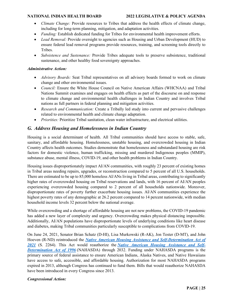- *Climate Change:* Provide resources to Tribes that address the health effects of climate change, including for long-term planning, mitigation, and adaptation activities.
- *Funding:* Establish dedicated funding for Tribes for environmental health improvement efforts.
- *Lead Removal:* Provide oversight to agencies such as Housing and Urban Development (HUD) to ensure federal lead removal programs provide resources, training, and screening tools directly to Tribes.
- *Subsistence and Sustenance:* Provide Tribes adequate tools to preserve subsistence, traditional sustenance, and other healthy food sovereignty approaches.

#### *Administrative Action:*

- *Advisory Boards:* Seat Tribal representatives on all advisory boards formed to work on climate change and other environmental issues.
- *Council:* Ensure the White House Council on Native American Affairs (WHCNAA) and Tribal Nations Summit examines and engages on health effects as part of the discourse on and response to climate change and environmental health challenges in Indian Country and involves Tribal nations as full partners in federal planning and mitigation activities.
- *Research and Communication:* Create a Tribally led study into current and pervasive challenges related to environmental health and climate change adaptation.
- *Priorities:* Prioritize Tribal sanitation, clean water infrastructure, and electrical utilities.

### <span id="page-24-0"></span>*G. Address Housing and Homelessness in Indian Country*

Housing is a social determinant of health. All Tribal communities should have access to stable, safe, sanitary, and affordable housing. Homelessness, unstable housing, and overcrowded housing in Indian Country affects health outcomes. Studies demonstrate that homelessness and substandard housing are risk factors for domestic violence, human trafficking, missing and murdered Indigenous peoples (MMIP), substance abuse, mental illness, COVID-19, and other health problems in Indian Country.

Housing issues disproportionately impact AI/AN communities, with roughly 23 percent of existing homes in Tribal areas needing repairs, upgrades, or reconstruction compared to 5 percent of all U.S. households. There are estimated to be up to 85,000 homeless AI/ANs living in Tribal areas, contributing to significantly higher rates of overcrowded housing on Tribal reservations and lands, with 16 percent of AI/AN peoples experiencing overcrowded housing compared to 2 percent of all households nationwide. Moreover, disproportionate rates of poverty further exacerbate housing issues. AI/AN communities experience the highest poverty rates of any demographic at 26.2 percent compared to 14 percent nationwide, with median household income levels 32 percent below the national average.

While overcrowding and a shortage of affordable housing are not new problems, the COVID-19 pandemic has added a new layer of complexity and urgency. Overcrowding makes physical distancing impossible. Additionally, AI/AN populations have disproportionate levels of underlying conditions like heart disease and diabetes, making Tribal communities particularly susceptible to complications from COVID-19.

On June 24, 2021, Senator Brian Schatz (D-HI), Lisa Murkowski (R-AK), Jon Tester (D-MT), and John Hoeven (R-ND) reintroduced the *Native American [Housing Assistance and Self-Determination Act of](https://bit.ly/3x9B8tZ)  [2021](https://bit.ly/3x9B8tZ)* (S. 2264). This Act would reauthorize the *[Native American Housing Assistance and Self-](https://www.congress.gov/bill/104th-congress/house-bill/3219)[Determination Act of 1996](https://www.congress.gov/bill/104th-congress/house-bill/3219)* (NAHASDA) through 2032. Funding under NAHASDA programs is the primary source of federal assistance to ensure American Indians, Alaska Natives, and Native Hawaiians have access to safe, accessible, and affordable housing. Authorization for most NAHASDA programs expired in 2013, although Congress has continued to fund them. Bills that would reauthorize NAHASDA have been introduced in every Congress since 2013.

#### *Congressional Action:*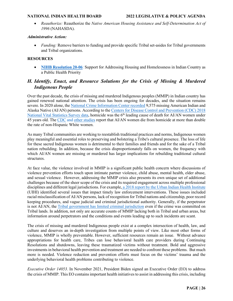• *Reauthorize:* Reauthorize the *Native American Housing Assistance and Self-Determination Act of 1996* (NAHASDA).

#### *Administrative Action:*

• *Funding:* Remove barriers to funding and provide specific Tribal set-asides for Tribal governments and Tribal organizations.

#### **RESOURCES**

• **[NIHB Resolution 20-06](https://www.nihb.org/docs/03052020/20-06%20NIHB%20Resolution%20on%20Housing%20as%20a%20Health%20Issue.pdf)**: Support for Addressing Housing and Homelessness in Indian Country as a Public Health Priority

### <span id="page-25-0"></span>*H. Identify, Enact, and Resource Solutions for the Crisis of Missing & Murdered Indigenous People*

Over the past decade, the crisis of missing and murdered Indigenous peoples (MMIP) in Indian country has gained renewed national attention. The crisis has been ongoing for decades, and the situation remains severe. In 2020 alone, the [National Crime Information Center recorded](https://operationladyjustice.usdoj.gov/sites/g/files/xyckuh281/files/media/document/OLJ_FBI_NCIC_2020_AIAN.pdf) 9,575 missing American Indian and Alaska Native (AI/AN) persons. According to the [Centers for Disease Control and Prevention \(CDC\) 2018](https://www.cdc.gov/injury/pdfs/tribal/Violence-Against-Native-Peoples-Fact-Sheet.pdf)  [National Vital Statistics Survey data,](https://www.cdc.gov/injury/pdfs/tribal/Violence-Against-Native-Peoples-Fact-Sheet.pdf) homicide was the 6<sup>th</sup> leading cause of death for AI/AN women under 45 years old. The [CDC](https://www.cdc.gov/mmwr/volumes/66/wr/mm6628a1.htm#T1_down) and [other studies](https://www.ncbi.nlm.nih.gov/pmc/articles/PMC4937122/) report that AI/AN women die from homicide at more than double the rate of non-Hispanic White women.

As many Tribal communities are working to reestablish traditional practices and norms, Indigenous women play meaningful and essential roles to preserving and bolstering a Tribe's cultural presence. The loss of life for these sacred Indigenous women is detrimental to their families and friends and for the sake of a Tribal nation rebuilding. In addition, because the crisis disproportionately falls on women, the frequency with which AI/AN women are missing or murdered has larger implications for rebuilding traditional cultural structures.

At face value, the violence involved in MMIP is a significant public health concern where discussions of violence prevention efforts touch upon intimate partner violence, child abuse, mental health, elder abuse, and sexual violence. However, addressing the MMIP crisis also presents its own unique set of additional challenges because of the sheer scope of the crisis and its required engagement across multiple professional disciplines and different legal jurisdictions. For example, [a 2018 report by the Urban Indian Health Institute](https://www.uihi.org/wp-content/uploads/2018/11/Missing-and-Murdered-Indigenous-Women-and-Girls-Report.pdf) (UIHI) identified several issues that impact timely law enforcement interventions. These issues included racial misclassification of AI/AN persons, lack of recognition for Tribal nations and citizenship, poor record keeping procedures, and vague judicial and criminal jurisdictional authority. Generally, if the perpetrator is not AI/AN, the [Tribal government has limited criminal jurisdiction](https://www.tribal-institute.org/lists/jurisdiction.htm) even if the crime was committed on Tribal lands. In addition, not only are accurate counts of MMIP lacking both in Tribal and urban areas, but information around perpetrators and the conditions and events leading up to such incidents are scant.

The crisis of missing and murdered Indigenous people exist at a complex intersection of health, law, and culture and deserves an in-depth investigation from multiple points of view. Like most other forms of violence, MMIP is wholly preventable. However, sufficient resources remain an issue. Without advance appropriations for health care, Tribes can lose behavioral health care providers during Continuing Resolutions and shutdowns, leaving these traumatized victims without treatment. Bold and aggressive investments in behavioral health prevention and treatment are needed to confront these problems. But much more is needed. Violence reduction and prevention efforts must focus on the victims' trauma and the underlying behavioral health problems contributing to violence.

*Executive Order 14053.* In November 2021, President Biden signed an Executive Order (EO) to address the crisis of MMIP. This EO contains important health initiatives to assist in addressing this crisis, including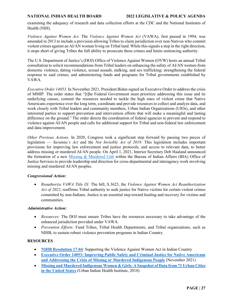examining the adequacy of research and data collection efforts at the CDC and the National Institutes of Health (NIH).

*Violence Against Women Act.* The *Violence Against Women Act* (VAWA), first passed in 1994, was amended in 2013 to include a provision allowing Tribes to claim jurisdiction over non-Natives who commit violent crimes against an AI/AN woman living on Tribal land. While this signals a step in the right direction, it stops short of giving Tribes the full ability to prosecute these crimes and limits sentencing authority.

The U.S. Department of Justice's (DOJ) Office of Violence Against Women (OVW) hosts an annual Tribal consultation to solicit recommendations from Tribal leaders on enhancing the safety of AI/AN women from domestic violence, dating violence, sexual assault, stalking, and sex trafficking; strengthening the federal response to said crimes; and administering funds and programs for Tribal governments established by VAWA.

*Executive Order 14053.* In November 2021, President Biden signed an Executive Order to address the crisis of MMIP. The order states that "[t]he Federal Government must prioritize addressing this issue and its underlying causes, commit the resources needed to tackle the high rates of violent crime that Native Americans experience over the long term, coordinate and provide resources to collect and analyze data, and work closely with Tribal leaders and community members, Urban Indian Organizations (UIOs), and other interested parties to support prevention and intervention efforts that will make a meaningful and lasting difference on the ground." The order directs the coordination of federal agencies to prevent and respond to violence against AI/AN people and calls for additional support for Tribal and non-federal law enforcement and data improvement.

*Other Previous Actions.* In 2020, Congress took a significant step forward by passing two pieces of legislation — *Savanna's Act* and the *Not Invisible Act of 2019*. This legislation includes important provisions for improving law enforcement and justice protocols, and access to relevant data, to better address missing or murdered AI/AN people. On April 1, 2021, Interior Secretary Deb Haaland announced the formation of a new [Missing & Murdered Unit](https://www.bia.gov/service/mmu) within the Bureau of Indian Affairs (BIA) Office of Justice Services to provide leadership and direction for cross-departmental and interagency work involving missing and murdered AI/AN peoples.

### *Congressional Action:*

• *Reauthorize VAWA Title IX:* The bill, S.3623, the *Violence Against Women Act Reauthorization Act of 2022*, reaffirms Tribal authority to seek justice for Native victims for certain violent crimes committed by non-Indians. Justice is an essential step toward healing and recovery for victims and communities.

#### *Administrative Action:*

- *Resources:* The DOJ must ensure Tribes have the resources necessary to take advantage of the enhanced jurisdiction provided under VAWA.
- *Prevention Efforts:* Fund Tribes, Tribal Health Departments, and Tribal organizations, such as NIHB, to sustain robust violence prevention programs in Indian Country.

### **RESOURCES**

- **[NIHB Resolution 17-04](https://www.nihb.org/docs/01272017/NIHB%20Resolution%2017-04%20VAWA.pdf):** Supporting the Violence Against Women Act in Indian Country
- **Executive Order 14053: [Improving Public Safety and Criminal Justice for Native Americans](https://www.whitehouse.gov/briefing-room/presidential-actions/2021/11/15/executive-order-on-improving-public-safety-and-criminal-justice-for-native-americans-and-addressing-the-crisis-of-missing-or-murdered-indigenous-people/)  [and Addressing the Crisis of Missing or Murdered Indigenous People](https://www.whitehouse.gov/briefing-room/presidential-actions/2021/11/15/executive-order-on-improving-public-safety-and-criminal-justice-for-native-americans-and-addressing-the-crisis-of-missing-or-murdered-indigenous-people/)** (November 2021)
- **[Missing and Murdered Indigenous Women & Girls: A Snapshot of Data from 71 Urban Cities](https://www.uihi.org/wp-content/uploads/2018/11/Missing-and-Murdered-Indigenous-Women-and-Girls-Report.pdf)  [in the United States](https://www.uihi.org/wp-content/uploads/2018/11/Missing-and-Murdered-Indigenous-Women-and-Girls-Report.pdf)** (Urban Indian Health Institute, 2018)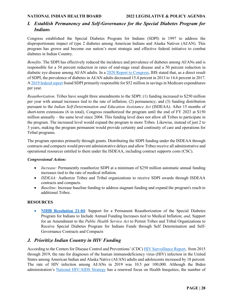### <span id="page-27-0"></span>*I. Establish Permanency and Self-Governance for the Special Diabetes Program for Indians*

Congress established the Special Diabetes Program for Indians (SDPI) in 1997 to address the disproportionate impact of type 2 diabetes among American Indians and Alaska Natives (AI/AN). This program has grown and become our nation's most strategic and effective federal initiative to combat diabetes in Indian Country.

*Benefits*. The SDPI has effectively reduced the incidence and prevalence of diabetes among AI/ANs and is responsible for a 54 percent reduction in rates of end-stage renal disease and a 50 percent reduction in diabetic eye disease among AI/AN adults. In a [2020 Report to Congress,](https://www.ihs.gov/sites/newsroom/themes/responsive2017/display_objects/documents/SDPI2020Report_to_Congress.pdf) IHS stated that, as a direct result of SDPI, the prevalence of diabetes in AI/AN adults decreased 15.4 percent in 2013 to 14.6 percent in 2017. A [2019 federal report](https://aspe.hhs.gov/reports/special-diabetes-program-indians-estimates-medicare-savings) found SDPI primarily responsible for \$52 million in savings in Medicare expenditures per year.

*Reauthorization*. Tribes have sought three amendments to the SDPI: (1) funding increased to \$250 million per year with annual increases tied to the rate of inflation; (2) permanency; and (3) funding distribution pursuant to the *Indian Self-Determination and Education Assistance Act* (ISDEAA). After 15 months of short-term extensions (6 in total), Congress reauthorized the program until the end of FY 2023 at \$150 million annually – the same level since 2004. This funding level does not allow all Tribes to participate in the program. The increased level would expand the program to more Tribes. Likewise, instead of just 2 to 3 years, making the program permanent would provide certainty and continuity of care and operations for Tribal programs.

The program operates primarily through grants. Distributing the SDPI funding under the ISDEAA through contracts and compacts would prevent administrative delays and allow Tribes receive all administrative and operational resources entitled to them under the ISDEAA, including contract supports costs (CSC).

#### *Congressional Action:*

- *Increase:* Permanently reauthorize SDPI at a minimum of \$250 million automatic annual funding increases tied to the rate of medical inflation.
- *ISDEAA:* Authorize Tribes and Tribal organizations to receive SDPI awards through ISDEAA contracts and compacts.
- *Baseline:* Increase baseline funding to address stagnant funding and expand the program's reach to additional Tribes.

### **RESOURCES**

• **[NIHB Resolution 21-04](https://www.nihb.org/docs/03012021/21-04_NIHB%20Resolution%20on%20SDPI.pdf)**: Support for a Permanent Reauthorization of the Special Diabetes Program for Indians to Include Annual Funding Increases tied to Medical Inflation; *and*, Support for an Amendment to the *Public Health Service Act* to Permit Tribes and Tribal Organizations to Receive Special Diabetes Program for Indians Funds through Self Determination and Self-Governance Contracts and Compacts

### <span id="page-27-1"></span>*J. Prioritize Indian Country in HIV Funding*

According to the Centers for Disease Control and Preventions' (CDC) [HIV Surveillance Report,](https://www.cdc.gov/hiv/pdf/library/reports/surveillance/cdc-hiv-surveillance-report-2018-updated-vol-32.pdf) from 2015 through 2019, the rate for diagnoses of the human immunodeficiency virus (HIV) infection in the United States among American Indian and Alaska Native (AI/AN) adults and adolescents increased by 18 percent. The rate of HIV infection among AI/ANs in 2019 was 10.5 per 100,000. Although the Biden administration's [National HIV/AIDS Strategy](https://hivgov-prod-v3.s3.amazonaws.com/s3fs-public/NHAS-2022-2025.pdf) has a renewed focus on Health Inequities, the number of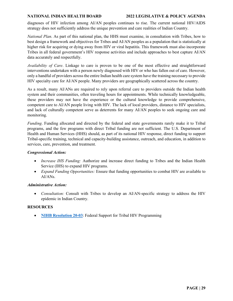diagnoses of HIV infection among AI/AN peoples continues to rise. The current national HIV/AIDS strategy does not sufficiently address the unique prevention and care realities of Indian Country.

*National Plan*. As part of this national plan, the HHS must examine, in consultation with Tribes, how to best design a framework and objectives for Tribes and AI/AN peoples as a population that is statistically at higher risk for acquiring or dying away from HIV or viral hepatitis. This framework must also incorporate Tribes in all federal government's HIV response activities and include approaches to best capture AI/AN data accurately and respectfully.

*Availability of Care*. Linkage to care is proven to be one of the most effective and straightforward interventions undertaken with a person newly diagnosed with HIV or who has fallen out of care. However, only a handful of providers across the entire Indian health care system have the training necessary to provide HIV specialty care for AI/AN people. Many providers are geographically scattered across the country.

As a result, many AI/ANs are required to rely upon referral care to providers outside the Indian health system and their communities, often traveling hours for appointments. While technically knowledgeable, these providers may not have the experience or the cultural knowledge to provide comprehensive, competent care to AI/AN people living with HIV. The lack of local providers, distance to HIV specialists, and lack of culturally competent serve as deterrents for many AI/AN peoples to seek ongoing care and monitoring.

*Funding*. Funding allocated and directed by the federal and state governments rarely make it to Tribal programs, and the few programs with direct Tribal funding are not sufficient. The U.S. Department of Health and Human Services (HHS) should, as part of its national HIV response, direct funding to support Tribal-specific training, technical and capacity-building assistance, outreach, and education, in addition to services, care, prevention, and treatment.

#### *Congressional Action:*

- *Increase IHS Funding:* Authorize and increase direct funding to Tribes and the Indian Health Service (IHS) to expand HIV programs.
- *Expand Funding Opportunities:* Ensure that funding opportunities to combat HIV are available to  $AI/ANS$ .

#### *Administrative Action:*

• *Consultation:* Consult with Tribes to develop an AI/AN-specific strategy to address the HIV epidemic in Indian Country.

#### **RESOURCES**

• **[NIHB Resolution 20-03](https://www.nihb.org/docs/03052020/20-03%20NIHB%20Resolution%20on%20HIV%20Funding.pdf)**: Federal Support for Tribal HIV Programming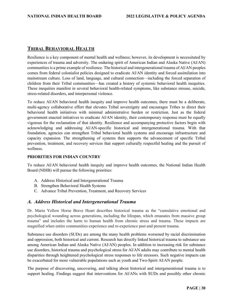### <span id="page-29-0"></span>**TRIBAL BEHAVIORAL HEALTH**

Resilience is a key component of mental health and wellness; however, its development is necessitated by experiences of trauma and adversity. The enduring spirit of American Indian and Alaska Native (AI/AN) communities is a prime example of resilience. The historical and intergenerational trauma of AI/AN peoples comes from federal colonialist policies designed to eradicate AI/AN identity and forced assimilation into mainstream culture. Loss of land, language, and cultural connection—including the forced separation of children from their Tribal communities—has created a history of systemic behavioral health inequities. These inequities manifest in several behavioral health-related symptoms, like substance misuse, suicide, stress-related disorders, and interpersonal violence.

To reduce AI/AN behavioral health inequity and improve health outcomes, there must be a deliberate, multi-agency collaborative effort that elevates Tribal sovereignty and encourages Tribes to direct their behavioral health initiatives with minimal administrative burden or restriction. Just as the federal government enacted initiatives to eradicate AI/AN identity, their contemporary response must be equally vigorous for the reclamation of that identity. Resilience and accompanying protective factors begin with acknowledging and addressing AI/AN-specific historical and intergenerational trauma. With that foundation, agencies can strengthen Tribal behavioral health systems and encourage infrastructure and capacity expansion. The strengthening of systems then supports the advancement of specific Tribal prevention, treatment, and recovery services that support culturally respectful healing and the pursuit of wellness.

#### **PRIORITIES FOR INDIAN COUNTRY**

To reduce AI/AN behavioral health inequity and improve health outcomes, the National Indian Health Board (NIHB) will pursue the following priorities:

- A. Address Historical and Intergenerational Trauma
- B. Strengthen Behavioral Health Systems
- C. Advance Tribal Prevention, Treatment, and Recovery Services

#### <span id="page-29-1"></span>*A. Address Historical and Intergenerational Trauma*

Dr. Maria Yellow Horse Brave Heart describes historical trauma as the "cumulative emotional and psychological wounding across generations, including the lifespan, which emanates from massive group trauma" and includes the harm to human health from chronic stress and trauma. These impacts are magnified when entire communities experience and re-experience past and present trauma.

Substance use disorders (SUDs) are among the many health problems worsened by racial discrimination and oppression, both historical and current. Research has directly linked historical trauma to substance use among American Indian and Alaska Native (AI/AN) peoples. In addition to increasing risk for substance use disorders, historical trauma and psychological stress for AI/AN adults may contribute to mental health disparities through heightened psychological stress responses to life stressors. Such negative impacts can be exacerbated for more vulnerable populations such as youth and Two-Spirit AI/AN people.

The purpose of discovering, uncovering, and talking about historical and intergenerational trauma is to support healing. Findings suggest that interventions for AI/ANs with SUDs and possibly other chronic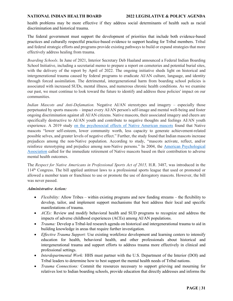health problems may be more effective if they address social determinants of health such as racial discrimination and historical trauma.

The federal government must support the development of priorities that include both evidence-based practices and culturally respectful practice-based evidence to support healing for Tribal members. Tribal and federal strategic efforts and programs provide existing pathways to build or expand strategies that more effectively address healing from trauma.

*Boarding Schools*. In June of 2021, Interior Secretary Deb Haaland announced a Federal Indian Boarding School Initiative, including a secretarial memo to prepare a report on cemeteries and potential burial sites, with the delivery of the report by April of 2022. The ongoing initiative sheds light on historical and intergenerational trauma caused by federal programs to eradicate AI/AN culture, language, and identity through forced assimilation. The detrimental, intergenerational harm from boarding school policies is associated with increased SUDs, mental illness, and numerous chronic health conditions. As we examine our past, we must continue to look toward the future to identify and address these policies' impact on our communities.

*Indian Mascots and Anti-Defamation.* Negative AI/AN stereotypes and imagery – especially those perpetuated by sports mascots – impact every AI/AN person's self-image and mental well-being and foster ongoing discrimination against all AI/AN citizens. Native mascots, their associated imagery and cheers are specifically destructive to AI/AN youth and contribute to negative thoughts and feelings AI/AN youth experience. A 2019 study [on the psychosocial effects of Native American mascots](https://doi.org/10.1080/13613324.2020.1772221) found that Native mascots "lower self-esteem, lower community worth, less capacity to generate achievement-related possible selves, and greater levels of negative effect." Further, the study found that Indian mascots increase prejudices among the non-Native population. According to study, "mascots activate, reflect, and/or reinforce stereotyping and prejudice among non-Native persons." In 2004, the [American Psychological](https://www.apa.org/pi/oema/resources/indian-mascots)  [Association](https://www.apa.org/pi/oema/resources/indian-mascots) called for the immediate retirement of Native mascots based on their contribution to adverse mental health outcomes.

The *Respect for Native Americans in Professional Sports Act of 2015,* H.R. 3487, was introduced in the 114th Congress. The bill applied antitrust laws to a professional sports league that used or promoted or allowed a member team or franchisee to use or promote the use of derogatory mascots. However, the bill was never passed.

#### *Administrative Action:*

- *Flexibility:* Allow Tribes within existing programs and new funding streams the flexibility to develop, tailor, and implement support mechanisms that best address their local and specific manifestations of trauma.
- *ACEs:* Review and modify behavioral health and SUD programs to recognize and address the impacts of adverse childhood experiences (ACEs) among AI/AN populations.
- *Trauma:* Develop a Tribal-led research agenda on historical and intergenerational trauma to aid in building knowledge in areas that require further investigation.
- *Effective Trauma Support:* Use existing workforce development and learning centers to intensify education for health, behavioral health, and other professionals about historical and intergenerational trauma and support efforts to address trauma more effectively in clinical and professional settings.
- *Interdepartmental Work:* HHS must partner with the U.S. Department of the Interior (DOI) and Tribal leaders to determine how to best support the mental health needs of Tribal nations.
- *Trauma Connections:* Commit the resources necessary to support grieving and mourning for relatives lost to Indian boarding schools, provide education that directly addresses and informs the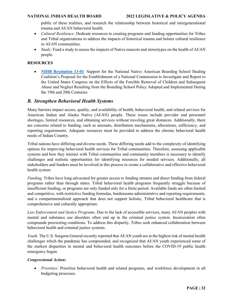public of these realities, and research the relationship between historical and intergenerational trauma and AI/AN behavioral health.

- *Cultural Resilience:* Dedicate resources to creating programs and funding opportunities for Tribes and Tribal organizations to address the impacts of historical trauma and bolster cultural resilience in AI/AN communities.
- *Study:* Fund a study to assess the impacts of Native mascots and stereotypes on the health of AI/AN people.

#### **RESOURCES**

• **[NIHB Resolution 13-01](https://www.nihb.org/docs/10172016/Resoultions%20for%20Website/2013/NIHB%20Resolution%2013-01.pdf)**: Support for the National Native American Boarding School Healing Coalition's Proposal for the Establishment of a National Commission to Investigate and Report to the United States Congress on the Effects of the Forcible Removal of Children and Subsequent Abuse and Neglect Resulting from the Boarding School Policy Adopted and Implemented During the 19th and 20th Centuries

### <span id="page-31-0"></span>*B. Strengthen Behavioral Health Systems*

Many barriers impact access, quality, and availability of health, behavioral health, and related services for American Indian and Alaska Native (AI/AN) people. These issues include provider and personnel shortages, limited resources, and obtaining services without traveling great distances. Additionally, there are concerns related to funding, such as amounts, distribution mechanisms, allocations, sufficiency, and reporting requirements. Adequate resources must be provided to address the chronic behavioral health needs of Indian Country.

Tribal nations have differing and diverse needs. These differing needs add to the complexity of identifying options for improving behavioral health services for Tribal communities. Therefore, assessing applicable systems and how they interact with Tribal communities and community members is necessary to identify challenges and realistic opportunities for identifying resources for needed services. Additionally, all stakeholders and funders must be involved in this process to create a collaborative and effective behavioral health system.

*Funding.* Tribes have long advocated for greater access to funding streams and direct funding from federal programs rather than through states. Tribal behavioral health programs frequently struggle because of insufficient funding, or programs are only funded only for a finite period. Available funds are often limited and competitive, with restrictive funding formulas, burdensome administrative and reporting requirements, and a compartmentalized approach that does not support holistic, Tribal behavioral healthcare that is comprehensive and culturally appropriate.

*Law Enforcement and Justice Programs.* Due to the lack of accessible services, many AI/AN peoples with mental and substance use disorders often end up in the criminal justice system. Incarceration often compounds preexisting conditions. To address this disparity, Tribes seek enhanced collaboration between behavioral health and criminal justice systems.

*Youth.* The U.S. Surgeon General recently reported that AI/AN youth are at the highest risk of mental health challenges which the pandemic has compounded, and recognized that AI/AN youth experienced some of the starkest disparities in mental and behavioral health outcomes before the COVID-19 public health emergency began.

#### *Congressional Action:*

• *Priorities:* Prioritize behavioral health and related programs, and workforce development in all budgeting processes.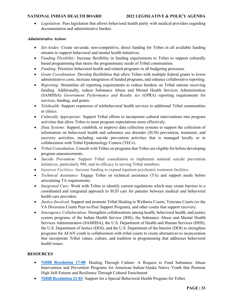• *Legislation:* Pass legislation that allows behavioral health parity with medical providers regarding documentation and administrative burden.

#### *Administrative Action:*

- *Set-Asides:* Create set-aside, non-competitive, direct funding for Tribes in all available funding streams to support behavioral and mental health initiatives.
- *Funding Flexibility:* Increase flexibility in funding requirements to Tribes to support culturally based programming that meets the programmatic needs of Tribal communities.
- *Funding:* Prioritize behavioral health and related programs in all budgeting processes.
- *Grant Coordination:* Develop flexibilities that allow Tribes with multiple federal grants to lower administrative costs, increase integration of funded programs, and enhance collaborative reporting.
- *Reporting:* Streamline all reporting requirements to reduce burdens on Tribal nations receiving funding. Additionally, reduce Substance Abuse and Mental Health Services Administration (SAMHSA) *Government Performance and Results Act* (GPRA) reporting requirements for services, funding, and grants.
- *Telehealth:* Support expansion of telebehavioral health services to additional Tribal communities or clinics.
- *Culturally Appropriate:* Support Tribal efforts to incorporate cultural interventions into program activities that allow Tribes to meet program expectations more effectively.
- *Data Systems:* Support, establish, or improve data collection systems to support the collection of information on behavioral health and substance use disorder (SUD) prevention, treatment, and recovery activities, including suicide prevention activities that is managed locally or in collaboration with Tribal Epidemiology Centers (TECs).
- *Tribal Consultation:* Consult with Tribes on programs that Tribes are eligible for before developing program announcements.
- *Suicide Prevention:* Support Tribal consultation to implement national suicide prevention initiatives, particularly 988, and its efficacy in serving Tribal members.
- *Inpatient Facilities:* Increase funding to expand inpatient psychiatric treatment facilities.
- *Technical Assistance:* Engage Tribes on technical assistance (TA) and support needs before articulating TA requirements.
- *Integrated Care:* Work with Tribes to identify current regulations which may create barriers to a coordinated and integrated approach to SUD care for patients between medical and behavioral health care providers.
- *Justice-Involved:* Support and promote Tribal Healing to Wellness Courts, Veterans Courts (or the VA Diversion Courts Peer-to-Peer Support Program), and other courts that support recovery.
- *Interagency Collaboration:* Strengthen collaborations among health, behavioral health, and justice system programs of the Indian Health Service (IHS), the Substance Abuse and Mental Health Services Administration (SAMHSA), the U.S. Department of Health and Human Services (HHS), the U.S. Department of Justice (DOJ), and the U.S. Department of the Interior (DOI) to strengthen programs for AI/AN youth in collaboration with tribal courts to create alternatives to incarceration that incorporate Tribal values, culture, and tradition in programming that addresses behavioral health issues.

### **RESOURCES**

- **[NIHB Resolution](https://www.nihb.org/docs/05172017/NIHB%20Resolution%2017-08%20NIHB%20%20Resolution_Substance%20Abuse%20Prevention%20and%20BH.PDF) 17-08**: Healing Through Culture: A Request to Fund Substance Abuse Intervention and Prevention Programs for American Indian/Alaska Native Youth that Promote High Self-Esteem and Resilience Through Cultural Enrichment
- **[NIHB Resolution 21-03](https://www.nihb.org/docs/03012021/21-03_NIHB%20Resolution%20Special%20Behavioral%20Health%20Program%20for%20Indians.pdf)**: Support for a Special Behavioral Health Program for Tribes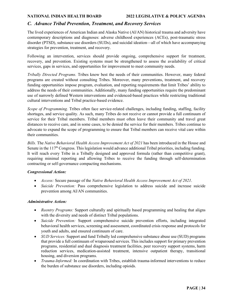### <span id="page-33-0"></span>*C. Advance Tribal Prevention, Treatment, and Recovery Services*

The lived experiences of American Indian and Alaska Native (AI/AN) historical trauma and adversity have contemporary descriptions and diagnoses: adverse childhood experiences (ACEs), post-traumatic stress disorder (PTSD), substance use disorders (SUDs), and suicidal ideation—all of which have accompanying strategies for prevention, treatment, and recovery.

Following an intervention, services should provide ongoing, comprehensive support for treatment, recovery, and prevention. Existing systems must be strengthened to assess the availability of critical services, gaps in services, and opportunities for improvement to meet community needs.

*Tribally Directed Programs.* Tribes know best the needs of their communities. However, many federal programs are created without consulting Tribes. Moreover, many preventions, treatment, and recovery funding opportunities impose program, evaluation, and reporting requirements that limit Tribes' ability to address the needs of their communities. Additionally, many funding opportunities require the predominant use of narrowly defined Western interventions and evidenced-based practices while restricting traditional cultural interventions and Tribal practice-based evidence.

*Scope of Programming.* Tribes often face service-related challenges, including funding, staffing, facility shortages, and service quality. As such, many Tribes do not receive or cannot provide a full continuum of service for their Tribal members. Tribal members must often leave their community and travel great distances to receive care, and in some cases, to be denied the service for their members. Tribes continue to advocate to expand the scope of programming to ensure that Tribal members can receive vital care within their communities.

*Bills.* The *Native Behavioral Health Access Improvement Act of 2021* has been introduced in the House and Senate in the  $117<sup>th</sup>$  Congress. This legislation would advance additional Tribal priorities, including funding. It will reach every Tribe in a Tribally designed and approved formula (rather than competitive grant), requiring minimal reporting and allowing Tribes to receive the funding through self-determination contracting or self-governance compacting mechanisms.

#### *Congressional Action:*

- *Access:* Secure passage of the *Native Behavioral Health Access Improvement Act of 2021*.
- *Suicide Prevention:* Pass comprehensive legislation to address suicide and increase suicide prevention among AI/AN communities.

#### *Administrative Action:*

- *Reentry Programs:* Support culturally and spiritually based programming and healing that aligns with the diversity and needs of distinct Tribal populations.
- *Suicide Prevention:* Support comprehensive suicide prevention efforts, including integrated behavioral health services, screening and assessment, coordinated crisis response and protocols for youth and adults, and ensured continuum of care.
- *SUD Services:* Support and fund Tribally led comprehensive substance abuse use (SUD) programs that provide a full continuum of wraparound services. This includes support for primary prevention programs, residential and dual diagnosis treatment facilities, peer recovery support systems, harm reduction services, medication-assisted treatment, intensive outpatient therapy, transitional housing, and diversion programs.
- *Trauma-Informed:* In coordination with Tribes, establish trauma-informed interventions to reduce the burden of substance use disorders, including opioids.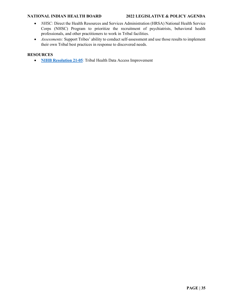- *NHSC:* Direct the Health Resources and Services Administration (HRSA) National Health Service Corps (NHSC) Program to prioritize the recruitment of psychiatrists, behavioral health professionals, and other practitioners to work in Tribal facilities.
- *Assessments:* Support Tribes' ability to conduct self-assessment and use those results to implement their own Tribal best practices in response to discovered needs.

#### **RESOURCES**

• **[NIHB Resolution 21-05](https://www.nihb.org/docs/01132022/21-05%20NIHB%20Resolution%20on%20Tribal%20Health%20Data.pdf)**: Tribal Health Data Access Improvement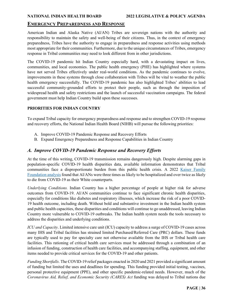### <span id="page-35-0"></span>**EMERGENCY PREPAREDNESS AND RESPONSE**

American Indian and Alaska Native (AI/AN) Tribes are sovereign nations with the authority and responsibility to maintain the safety and well-being of their citizens. Thus, in the context of emergency preparedness, Tribes have the authority to engage in preparedness and response activities using methods most appropriate for their communities. Furthermore, due to the unique circumstances of Tribes, emergency response in Tribal communities may need to look different from in other jurisdictions.

The COVID-19 pandemic hit Indian Country especially hard, with a devastating impact on lives, communities, and local economies. The public health emergency (PHE) has highlighted where systems have not served Tribes effectively under real-world conditions. As the pandemic continues to evolve, improvements in these systems through close collaboration with Tribes will be vital to weather the public health emergency successfully. The COVID-19 pandemic has also highlighted Tribes' abilities to lead successful community-grounded efforts to protect their people, such as through the imposition of widespread health and safety restrictions and the launch of successful vaccination campaigns. The federal government must help Indian Country build upon these successes.

#### **PRIORITIES FOR INDIAN COUNTRY**

To expand Tribal capacity for emergency preparedness and response and to strengthen COVID-19 response and recovery efforts, the National Indian Health Board (NIHB) will pursue the following priorities:

- A. Improve COVID-19 Pandemic Response and Recovery Efforts
- B. Expand Emergency Preparedness and Response Capabilities in Indian Country

### <span id="page-35-1"></span>*A. Improve COVID-19 Pandemic Response and Recovery Efforts*

At the time of this writing, COVID-19 transmission remains dangerously high. Despite alarming gaps in population-specific COVID-19 health disparities data, available information demonstrates that Tribal communities face a disproportionate burden from this public health crisis. A 2022 Kaiser Family [Foundation analysis](https://www.kff.org/report-section/key-facts-on-health-and-health-care-by-race-and-ethnicity-disparities-in-covid-19-impacts/) found that AI/ANs were three times as likely to be hospitalized and over twice as likely to die from COVID-19 as their White counterparts.

*Underlying Conditions.* Indian Country has a higher percentage of people at higher risk for adverse outcomes from COVID-19. AI/AN communities continue to face significant chronic health disparities, especially for conditions like diabetes and respiratory illnesses, which increase the risk of a poor COVID-19 health outcome, including death. Without bold and substantive investment in the Indian health system and public health capacities, these disparities and conditions will continue to go unaddressed, leaving Indian Country more vulnerable to COVID-19 outbreaks. The Indian health system needs the tools necessary to address the disparities and underlying conditions.

*ICU and Capacity*. Limited intensive care unit (ICU) capacity to address a surge of COVID-19 cases across many IHS and Tribal facilities has strained limited Purchased/Referred Care (PRC) dollars. These funds are typically used to pay for specialty care not otherwise available from the IHS or Tribal health care facilities. This rationing of critical health care services must be addressed through a combination of an infusion of funding, construction of health care facilities, and accompanying staffing, equipment, and other items needed to provide critical services for the COVID-19 and other patients.

*Funding Shortfalls*. The COVID-19 relief packages enacted in 2020 and 2021 provided a significant amount of funding but limited the uses and deadlines for spending. This funding provided initial testing, vaccines, personal protective equipment (PPE), and other specific pandemic-related needs. However, much of the *Coronavirus Aid, Relief, and Economic Security (CARES) Act* funding was delayed to Tribal nations due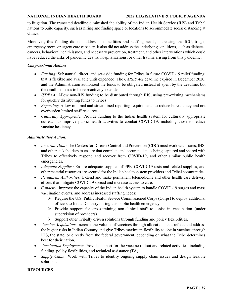to litigation. The truncated deadline diminished the ability of the Indian Health Service (IHS) and Tribal nations to build capacity, such as hiring and finding space or locations to accommodate social distancing at clinics.

Moreover, this funding did not address the facilities and staffing needs, increasing the ICU, triage, emergency room, or urgent care capacity. It also did not address the underlying conditions, such as diabetes, cancers, behavioral health issues, and necessary prevention, treatment, and other interventions which could have reduced the risks of pandemic deaths, hospitalizations, or other trauma arising from this pandemic.

#### *Congressional Action:*

- *Funding:* Substantial, direct, and set-aside funding for Tribes in future COVID-19 relief funding, that is flexible and available until expended. The *CARES Act* deadline expired in December 2020, and the Administration authorized the funds to be obligated instead of spent by the deadline, but the deadline needs to be retroactively extended.
- *ISDEAA*: Allow non-IHS funding to be distributed through IHS, using pre-existing mechanisms for quickly distributing funds to Tribes.
- *Reporting:* Allow minimal and streamlined reporting requirements to reduce bureaucracy and not overburden limited staff resources.
- *Culturally Appropriate:* Provide funding to the Indian health system for culturally appropriate outreach to improve public health activities to combat COVID-19, including those to reduce vaccine hesitancy.

#### *Administrative Action:*

- *Accurate Data:* The Centers for Disease Control and Prevention (CDC) must work with states, IHS, and other stakeholders to ensure that complete and accurate data is being captured and shared with Tribes to effectively respond and recover from COVID-19, and other similar public health emergencies.
- *Adequate Supplies:* Ensure adequate supplies of PPE, COVID-19 tests and related supplies, and other material resources are secured for the Indian health system providers and Tribal communities.
- *Permanent Authorities:* Extend and make permanent telemedicine and other health care delivery efforts that mitigate COVID-19 spread and increase access to care.
- *Capacity:* Improve the capacity of the Indian health system to handle COVID-19 surges and mass vaccination events, and address increased staffing needs:
	- $\triangleright$  Require the U.S. Public Health Service Commissioned Corps (Corps) to deploy additional officers to Indian Country during this public health emergency.
	- $\triangleright$  Provide support for cross-training non-clinical staff to assist in vaccination (under supervision of providers).
	- $\triangleright$  Support other Tribally driven solutions through funding and policy flexibilities.
- *Vaccine Acquisition:* Increase the volume of vaccines through allocations that reflect and address the higher risks in Indian Country and give Tribes maximum flexibility to obtain vaccines through IHS, the state, or directly from the federal government, depending on what the Tribe determines best for their nation.
- *Vaccination Deployment:* Provide support for the vaccine rollout and related activities, including funding, policy flexibilities, and technical assistance (TA).
- *Supply Chain:* Work with Tribes to identify ongoing supply chain issues and design feasible solutions.

#### **RESOURCES**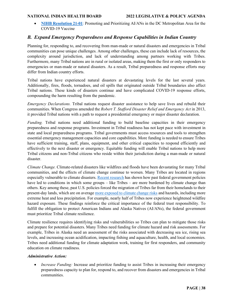• **[NIHB Resolution 21-01](https://www.nihb.org/docs/03012021/21-01_NIHB%20Resolution%20Prioritizing%20Vaccines%20for%20AIANs%20in%20DC.pdf)**: Promoting and Prioritizing AI/ANs in the DC Metropolitan Area for the COVID-19 Vaccine

### <span id="page-37-0"></span>*B. Expand Emergency Preparedness and Response Capabilities in Indian Country*

Planning for, responding to, and recovering from man-made or natural disasters and emergencies in Tribal communities can pose unique challenges. Among other challenges, these can include lack of resources, the complexity around jurisdiction, and lack of understanding among partners working with Tribes. Furthermore, many Tribal nations are in rural or isolated areas, making them the first or only responders to emergencies or man-made or natural disasters. As a result, Tribal preparedness and response efforts may differ from Indian country efforts.

Tribal nations have experienced natural disasters at devastating levels for the last several years. Additionally, fires, floods, tornadoes, and oil spills that originated outside Tribal boundaries also affect Tribal nations. These kinds of disasters continue and have complicated COVID-19 response efforts, compounding the harm resulting from the pandemic.

*Emergency Declarations.* Tribal nations request disaster assistance to help save lives and rebuild their communities. When Congress amended the *Robert T. Stafford Disaster Relief and Emergency Act* in 2013, it provided Tribal nations with a path to request a presidential emergency or major disaster declaration.

*Funding.* Tribal nations need additional funding to build baseline capacities in their emergency preparedness and response programs. Investment in Tribal readiness has not kept pace with investment in state and local preparedness programs. Tribal governments must access resources and tools to strengthen essential emergency management capacities and core capabilities. More funding is needed to ensure Tribes have sufficient training, staff, plans, equipment, and other critical capacities to respond efficiently and effectively to the next disaster or emergency. Equitable funding will enable Tribal nations to help more Tribal citizens and non-Tribal citizens who reside within their jurisdiction during a man-made or natural disaster.

*Climate Change.* Climate-related disasters like wildfires and floods have been devastating for many Tribal communities, and the effects of climate change continue to worsen. Many Tribes are located in regions especially vulnerable to climate disasters. Recent [research](https://www.science.org/doi/10.1126/science.abe4943) has shown how past federal government policies have led to conditions in which some groups – like Tribes – are more burdened by climate change than others. Key among these, past U.S. policies forced the migration of Tribes far from their homelands to their present-day lands, which are on averag[e more exposed to climate change risks](https://www.science.org/doi/10.1126/science.abe4943) and hazards, including more extreme heat and less precipitation. For example, nearly half of Tribes now experience heightened wildfire hazard exposure. These findings reinforce the critical importance of the federal trust responsibility. To fulfill the obligation to protect American Indians and Alaska Natives (AI/ANs), the federal government must prioritize Tribal climate resilience.

Climate resilience requires identifying risks and vulnerabilities so Tribes can plan to mitigate those risks and prepare for potential disasters. Many Tribes need funding for climate hazard and risk assessments. For example, Tribes in Alaska need an assessment of the risks associated with decreasing sea ice, rising sea levels, and increasing ocean acidification, impacting fishing and aquaculture, health, and local economies. Tribes need additional funding for climate adaptation work, training for first responders, and community education on climate readiness.

#### *Administrative Action:*

• *Increase Funding:* Increase and prioritize funding to assist Tribes in increasing their emergency preparedness capacity to plan for, respond to, and recover from disasters and emergencies in Tribal communities.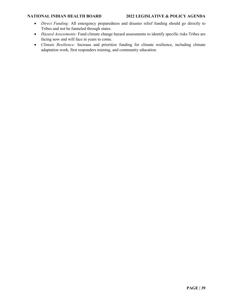- *Direct Funding:* All emergency preparedness and disaster relief funding should go directly to Tribes and not be funneled through states.
- *Hazard Assessments:* Fund climate change hazard assessments to identify specific risks Tribes are facing now and will face in years to come.
- *Climate Resilience:* Increase and prioritize funding for climate resilience, including climate adaptation work, first responders training, and community education.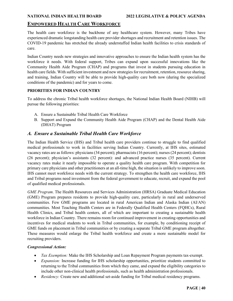### <span id="page-39-0"></span>**EMPOWERED HEALTH CARE WORKFORCE**

The health care workforce is the backbone of any healthcare system. However, many Tribes have experienced dramatic longstanding health care provider shortages and recruitment and retention issues. The COVID-19 pandemic has stretched the already understaffed Indian health facilities to crisis standards of care.

Indian Country needs new strategies and innovative approaches to ensure the Indian health system has the workforce it needs. With federal support, Tribes can expand upon successful innovations like the Community Health Aide Program (CHAP) and programs that invest in students pursuing education in health care fields. With sufficient investment and new strategies for recruitment, retention, resource sharing, and training, Indian Country will be able to provide high-quality care both now (during the specialized conditions of the pandemic) and for years to come.

#### **PRIORITIES FOR INDIAN COUNTRY**

To address the chronic Tribal health workforce shortages, the National Indian Health Board (NIHB) will pursue the following priorities:

- A. Ensure a Sustainable Tribal Health Care Workforce
- B. Support and Expand the Community Health Aide Program (CHAP) and the Dental Health Aide (DHAT) Program

### <span id="page-39-1"></span>*A. Ensure a Sustainable Tribal Health Care Workforce*

The Indian Health Service (IHS) and Tribal health care providers continue to struggle to find qualified medical professionals to work in facilities serving Indian Country. Currently, at IHS sites, estimated vacancy rates are as follows: physicians(34 percent); pharmacists (16 percent); nurses (24 percent); dentists (26 percent); physician's assistants (32 percent): and advanced practice nurses (35 percent). Current vacancy rates make it nearly impossible to operate a quality health care program. With competition for primary care physicians and other practitioners at an all-time high, the situation is unlikely to improve soon. IHS cannot meet workforce needs with the current strategy. To strengthen the health care workforce, IHS and Tribal programs need investment from the federal government to educate, recruit, and expand the pool of qualified medical professionals.

*GME Program*. The Health Resources and Services Administration (HRSA) Graduate Medical Education (GME) Program prepares residents to provide high-quality care, particularly in rural and underserved communities. Few GME programs are located in rural American Indian and Alaska Indian (AI/AN) communities. Most Teaching Health Centers are in Federally Qualified Health Centers (FQHCs), Rural Health Clinics, and Tribal health centers, all of which are important to creating a sustainable health workforce in Indian Country. There remains room for continued improvement in creating opportunities and incentives for medical students to work in Tribal communities, for example, by conditioning receipt of GME funds on placement in Tribal communities or by creating a separate Tribal GME program altogether. These measures would enlarge the Tribal health workforce and create a more sustainable model for recruiting providers.

#### *Congressional Action:*

- *Tax Exemption:* Make the IHS Scholarship and Loan Repayment Program payments tax-exempt.
- *Expansion:* Increase funding for IHS scholarship opportunities, prioritize students committed to returning to the Tribal communities from which they came, and expand the eligibility categories to include other non-clinical health professionals, such as health administration professionals.
- *Residency:* Create new and additional set-aside funding for Tribal medical residency programs.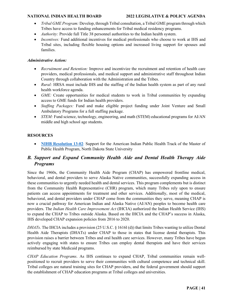- *Tribal GME Program:* Develop, through Tribal consultation, a Tribal GME program through which Tribes have access to funding enhancements for Tribal medical residency programs.
- *Authority:* Provide full Title 38 personnel authorities to the Indian health system.
- *Incentives:* Fund additional incentives for medical professionals who choose to work at IHS and Tribal sites, including flexible housing options and increased living support for spouses and families.

#### *Administrative Action:*

- *Recruitment and Retention:* Improve and incentivize the recruitment and retention of health care providers, medical professionals, and medical support and administrative staff throughout Indian Country through collaboration with the Administration and the Tribes.
- *Rural:* HRSA must include IHS and the staffing of the Indian health system as part of any rural health workforce agenda.
- *GME:* Create opportunities for medical students to work in Tribal communities by expanding access to GME funds for Indian health providers.
- *Staffing Packages:* Fund and make eligible project funding under Joint Venture and Small Ambulatory Programs for a full staffing package.
- *STEM*: Fund science, technology, engineering, and math (STEM) educational programs for AI/AN middle and high school age students.

### **RESOURCES**

• **NIHB** [Resolution 13-02](https://www.nihb.org/docs/10172016/Resoultions%20for%20Website/2013/NIHB%20Resolution%2013-02.pdf): Support for the American Indian Public Health Track of the Master of Public Health Program, North Dakota State University

### <span id="page-40-0"></span>*B. Support and Expand Community Health Aide and Dental Health Therapy Aide Programs*

Since the 1960s, the Community Health Aide Program (CHAP) has empowered frontline medical, behavioral, and dental providers to serve Alaska Native communities, successfully expanding access in these communities to urgently needed health and dental services. This program complements but is distinct from the Community Health Representative (CHR) program, which many Tribes rely upon to ensure patients can access appointments for treatment and other services. Additionally, most of the medical, behavioral, and dental providers under CHAP come from the communities they serve, meaning CHAP is now a crucial pathway for American Indian and Alaska Native (AI/AN) peoples to become health care providers. The *Indian Health Care Improvement Act* (IHCIA) authorized the Indian Health Service (IHS) to expand the CHAP to Tribes outside Alaska. Based on the IHCIA and the CHAP's success in Alaska, IHS developed CHAP expansion policies from 2016 to 2020.

*DHATs*. The IHCIA includes a provision (25 U.S.C. § 1616l (d)) that limits Tribes wanting to utilize Dental Health Aide Therapists (DHATs) under CHAP to those in states that license dental therapists. This provision raises a barrier between Tribes and oral health care services. However, many Tribes have begun actively engaging with states to ensure Tribes can employ dental therapists and have their services reimbursed by state Medicaid programs.

*CHAP Education Programs*. As IHS continues to expand CHAP, Tribal communities remain wellpositioned to recruit providers to serve their communities with cultural competence and technical skill. Tribal colleges are natural training sites for CHAP providers, and the federal government should support the establishment of CHAP education programs at Tribal colleges and universities.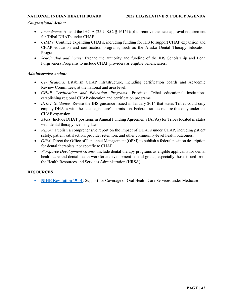#### *Congressional Action:*

- *Amendment:* Amend the IHCIA (25 U.S.C. § 1616l (d)) to remove the state approval requirement for Tribal DHATs under CHAP.
- *CHAPs:* Continue expanding CHAPs, including funding for IHS to support CHAP expansion and CHAP education and certification programs, such as the Alaska Dental Therapy Education Program.
- *Scholarship and Loans:* Expand the authority and funding of the IHS Scholarship and Loan Forgiveness Programs to include CHAP providers as eligible beneficiaries.

#### *Administrative Action:*

- *Certifications:* Establish CHAP infrastructure, including certification boards and Academic Review Committees, at the national and area level.
- *CHAP Certification and Education Programs:* Prioritize Tribal educational institutions establishing regional CHAP education and certification programs.
- *DHAT Guidance:* Revise the IHS guidance issued in January 2014 that states Tribes could only employ DHATs with the state legislature's permission. Federal statutes require this only under the CHAP expansion.
- *AFAs*: Include DHAT positions in Annual Funding Agreements (AFAs) for Tribes located in states with dental therapy licensing laws.
- *Report:* Publish a comprehensive report on the impact of DHATs under CHAP, including patient safety, patient satisfaction, provider retention, and other community-level health outcomes.
- *OPM:* Direct the Office of Personnel Management (OPM) to publish a federal position description for dental therapists, not specific to CHAP.
- *Workforce Development Grants:* Include dental therapy programs as eligible applicants for dental health care and dental health workforce development federal grants, especially those issued from the Health Resources and Services Administration (HRSA).

#### **RESOURCES**

• **[NIHB Resolution 19-01](https://www.nihb.org/docs/03042019/19-01%20NIHB%20Resolution%20Medicare%20Dental.pdf)**: Support for Coverage of Oral Health Care Services under Medicare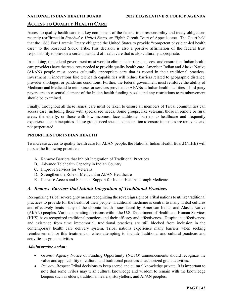### <span id="page-42-0"></span>**ACCESS TO QUALITY HEALTH CARE**

Access to quality health care is a key component of the federal trust responsibility and treaty obligations recently reaffirmed in *Rosebud v. United States*, an Eighth Circuit Court of Appeals case. The Court held that the 1868 Fort Laramie Treaty obligated the United States to provide "competent physician-led health care" to the Rosebud Sioux Tribe. This decision is also a positive affirmation of the federal trust responsibility to provide a certain standard of health care that is also culturally appropriate.

In so doing, the federal government must work to eliminate barriers to access and ensure that Indian health care providers have the resources needed to provide quality health care. American Indian and Alaska Native (AI/AN) people must access culturally appropriate care that is rooted in their traditional practices. Investment in innovations like telehealth capabilities will reduce barriers related to geographic distance, provider shortages, or pandemic conditions. Further, the federal government must reinforce the ability of Medicare and Medicaid to reimburse for services provided to AI/ANs at Indian health facilities. Third party payers are an essential element of the Indian health funding puzzle and any restrictions to reimbursement should be examined.

Finally, throughout all these issues, care must be taken to ensure all members of Tribal communities can access care, including those with specialized needs. Some groups, like veterans, those in remote or rural areas, the elderly, or those with low incomes, face additional barriers to healthcare and frequently experience health inequities. These groups need special consideration to ensure injustices are remedied and not perpetuated.

### **PRIORITIES FOR INDIAN HEALTH**

To increase access to quality health care for AI/AN people, the National Indian Health Board (NIHB) will pursue the following priorities:

- A. Remove Barriers that Inhibit Integration of Traditional Practices
- B. Advance Telehealth Capacity in Indian Country
- C. Improve Services for Veterans
- D. Strengthen the Role of Medicaid in AI/AN Healthcare
- E. Increase Access and Financial Support for Indian Health Through Medicare

### <span id="page-42-1"></span>*A. Remove Barriers that Inhibit Integration of Traditional Practices*

Recognizing Tribal sovereignty means recognizing the sovereign right of Tribal nations to utilize traditional practices to provide for the health of their people. Traditional medicine is central to many Tribal cultures and effectively treats many of the chronic health issues faced by American Indian and Alaska Native (AI/AN) peoples. Various operating divisions within the U.S. Department of Health and Human Services (HHS) have recognized traditional practices and their efficacy and effectiveness. Despite its effectiveness and existence from time immemorial, traditional practices are still blocked from inclusion in the contemporary health care delivery system. Tribal nations experience many barriers when seeking reimbursement for this treatment or when attempting to include traditional and cultural practices and activities as grant activities.

#### *Administrative Action:*

- *Grants:* Agency Notice of Funding Opportunity (NOFO) announcements should recognize the value and applicability of cultural and traditional practices as authorized grant activities.
- *Privacy:* Respect Tribal decisions to keep sacred and cultural knowledge private. It is important to note that some Tribes may wish cultural knowledge and wisdom to remain with the knowledge keepers such as elders, traditional healers, storytellers, and AI/AN peoples.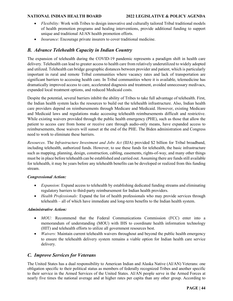- *Flexibility:* Work with Tribes to design innovative and culturally tailored Tribal traditional models of health promotion programs and healing interventions, provide additional funding to support unique and traditional AI/AN health promotion efforts.
- *Insurance:* Encourage private insurers to cover traditional medicine.

### <span id="page-43-0"></span>*B. Advance Telehealth Capacity in Indian Country*

The expansion of telehealth during the COVID-19 pandemic represents a paradigm shift in health care delivery. Telehealth can lead to greater access to health care from relatively underutilized to widely adopted and utilized. Telehealth can bridge geographic distances between provider and patient, which is particularly important in rural and remote Tribal communities where vacancy rates and lack of transportation are significant barriers to accessing health care. In Tribal communities where it is available, telemedicine has dramatically improved access to care, accelerated diagnosis and treatment, avoided unnecessary medivacs, expanded local treatment options, and reduced Medicaid costs.

Despite the potential, several barriers inhibit the ability of Tribes to take full advantage of telehealth. First, the Indian health system lacks the resources to build out the telehealth infrastructure. Also, Indian health care providers depend on reimbursements through Medicare and Medicaid. However, existing Medicare and Medicaid laws and regulations make accessing telehealth reimbursements difficult and restrictive. While existing waivers provided through the public health emergency (PHE), such as those that allow the patient to access care from home or receive care through audio-only means, have expanded access to reimbursements, those waivers will sunset at the end of the PHE. The Biden administration and Congress need to work to eliminate these barriers.

*Resources*. The *Infrastructure Investment and Jobs Act* (IIJA) provided \$2 billion for Tribal broadband, including telehealth, authorized funds. However, to use these funds for telehealth, the basic infrastructure such as mapping, planning, design, construction, cabling, easements, rights-of-way, and many other things must be in place before telehealth can be established and carried out. Assuming there are funds still available for telehealth, it may be years before any telehealth benefits can be developed or realized from this funding stream.

#### *Congressional Action:*

- *Expansion:* Expand access to telehealth by establishing dedicated funding streams and eliminating regulatory barriers to third-party reimbursement for Indian health providers.
- *Health Professionals:* Expand the list of health professionals who may provide services through telehealth – all of which have immediate and long-term benefits to the Indian health system.

#### *Administrative Action:*

- *MOU:* Recommend that the Federal Communications Commission (FCC) enter into a memorandum of understanding (MOU) with IHS to coordinate health information technology (HIT) and telehealth efforts to utilize all government resources best.
- *Waivers:* Maintain current telehealth waivers throughout and beyond the public health emergency to ensure the telehealth delivery system remains a viable option for Indian health care service delivery.

### <span id="page-43-1"></span>*C. Improve Services for Veterans*

The United States has a dual responsibility to American Indian and Alaska Native (AI/AN) Veterans: one obligation specific to their political status as members of federally recognized Tribes and another specific to their service in the Armed Services of the United States. AI/AN people serve in the Armed Forces at nearly five times the national average and at higher rates per capita than any other group. According to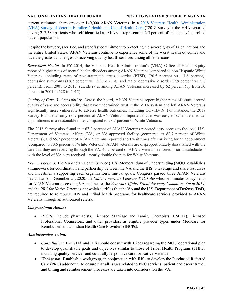current estimates, there are over 140,000 AI/AN Veterans. In a [2018 Veterans Health Administration](https://www.va.gov/HEALTHPOLICYPLANNING/SOE2018/2018EnrolleeDataFindingsReport_9January2019Final508Co%20mpliant.pdf)  [\(VHA\) Survey of Veteran Enrollees' Health and Use of Health Care](https://www.va.gov/HEALTHPOLICYPLANNING/SOE2018/2018EnrolleeDataFindingsReport_9January2019Final508Co%20mpliant.pdf) ("2018 Survey"), the VHA reported having 217,580 patients who self-identified as AI/AN – representing 2.5 percent of the agency's enrolled patient population.

Despite the bravery, sacrifice, and steadfast commitment to protecting the sovereignty of Tribal nations and the entire United States, AI/AN Veterans continue to experience some of the worst health outcomes and face the greatest challenges to receiving quality health services among all Americans.

*Behavioral Health.* In FY 2014, the Veterans Health Administration's (VHA) Office of Health Equity reported higher rates of mental health disorders among AI/AN Veterans compared to non-Hispanic White Veterans, including rates of post-traumatic stress disorder (PTSD) (20.5 percent vs. 11.6 percent), depression symptoms (18.7 percent vs. 15.2 percent), and major depressive disorder (7.9 percent vs. 5.8 percent). From 2001 to 2015, suicide rates among AI/AN Veterans increased by 62 percent (up from 50 percent in 2001 to 128 in 2015).

*Quality of Care & Accessibility.* Across the board, AI/AN Veterans report higher rates of issues around quality of care and accessibility that have undermined trust in the VHA system and left AI/AN Veterans significantly more vulnerable to adverse health outcomes, including COVID-19. For instance, the 2018 Survey found that only 66.9 percent of AI/AN Veterans reported that it was easy to schedule medical appointments in a reasonable time, compared to 78.7 percent of White Veterans.

The 2018 Survey also found that 67.2 percent of AI/AN Veterans reported easy access to the local U.S. Department of Veterans Affairs (VA) or VA-approved facility (compared to 82.7 percent of White Veterans), and 65.7 percent of AI/AN Veterans reported short wait times after arriving for an appointment (compared to 80.6 percent of White Veterans). AI/AN veterans are disproportionately dissatisfied with the care that they are receiving through the VA. 45.2 percent of AI/AN Veterans reported prior dissatisfaction with the level of VA care received – nearly double the rate for White Veterans.

*Previous actions.* The VA-Indian Health Service (IHS) Memorandum of Understanding (MOU) establishes a framework for coordination and partnership between the VA and the IHS to leverage and share resources and investments supporting each organization's mutual goals. Congress passed three AI/AN Veterans health laws on December 24, 2020: the *Native American Veterans PACT Act* which eliminates copayments for AI/AN Veterans accessing VA healthcare, the *Veterans Affairs Tribal Advisory Committee Act of 2019*, and the *PRC for Native Veterans Act* which clarifies that the VA and the U.S. Department of Defense (DoD) are required to reimburse IHS and Tribal health programs for healthcare services provided to AI/AN Veterans through an authorized referral.

#### *Congressional Action:*

• *IHCPs:* Include pharmacists, Licensed Marriage and Family Therapists (LMFTs), Licensed Professional Counselors, and other providers as eligible provider types under Medicare for Reimbursement as Indian Health Care Providers (IHCPs).

#### *Administrative Action:*

- *Consultation:* The VHA and IHS should consult with Tribes regarding the MOU operational plan to develop quantifiable goals and objectives similar to those of Tribal Health Programs (THPs), including quality services and culturally responsive care for Native Veterans.
- *Workgroup:* Establish a workgroup, in conjunction with IHS, to develop the Purchased Referred Care (PRC) addendum to ensure that all issues related to PRC services, patient and escort travel, and billing and reimbursement processes are taken into consideration the VA.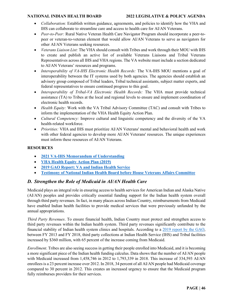- *Collaboration:* Establish written guidance, agreements, and policies to identify how the VHA and IHS can collaborate to streamline care and access to health care for AI/AN Veterans.
- *Peer-to-Peer:* Rural Native Veteran Health Care Navigator Program should incorporate a peer-topeer or veteran-to-veteran element that would allow AI/AN Veterans to serve as navigators for other AI/AN Veterans seeking resources.
- *Veterans Liaison List:* The VHA should consult with Tribes and work through their MOU with IHS to create and publish an active list of available Veterans Liaisons and Tribal Veterans Representatives across all IHS and VHA regions. The VA website must include a section dedicated to AI/AN Veterans' resources and programs.
- *Interoperability of VA-IHS Electronic Health Records:* The VA-IHS MOU mentions a goal of interoperability between the IT systems used by both agencies. The agencies should establish an advisory group composed of Tribal leaders, Tribal technical assistants, subject matter experts, and federal representatives to ensure continued progress to this goal.
- *Interoperability of Tribal-VA Electronic Health Records:* The VHA must provide technical assistance (TA) to Tribes at the local and regional levels to ensure and implement coordination of electronic health records.
- *Health Equity:* Work with the VA Tribal Advisory Committee (TAC) and consult with Tribes to inform the implementation of the VHA Health Equity Action Plan.
- *Cultural Competency:* Improve cultural and linguistic competency and the diversity of the VA health-related workforce.
- *Priorities:* VHA and IHS must prioritize AI/AN Veterans' mental and behavioral health and work with other federal agencies to develop more AI/AN Veterans' resources. The unique experiences must inform these resources of AI/AN Veterans.

#### **RESOURCES**

- **[2021 VA-IHS Memorandum of Understanding](https://www.ihs.gov/sites/newsroom/themes/responsive2017/display_objects/documents/2021_Letters/60086-2-VHA-IHS-MOU-enclosure-10-26-2021.pdf)**
- **[VHA Health Equity Action Plan \(2019\)](https://www.va.gov/HEALTHEQUITY/docs/Health_Equity_Action_Plan_Final_022020.pdf)**
- **[2019 GAO Report: VA and Indian Health Service](https://www.gao.gov/assets/gao-19-291.pdf)**
- **Testimony [of National Indian Health Board before House Veterans Affairs Committee](https://files.constantcontact.com/a3c45cb9201/ecac5ebd-3482-498a-a6f1-be4c3a940254.pdf)**

### <span id="page-45-0"></span>*D. Strengthen the Role of Medicaid in AI/AN Health Care*

Medicaid plays an integral role in ensuring access to health services for American Indian and Alaska Native (AI/AN) peoples and provides critically essential funding support for the Indian health system overall through third party revenues. In fact, in many places across Indian Country, reimbursements from Medicaid have enabled Indian health facilities to provide medical services that were previously unfunded by the annual appropriations.

*Third Party Revenues*. To ensure financial health, Indian Country must protect and strengthen access to third party revenues within the Indian health system. Third party revenues significantly contribute to the financial stability of Indian health system clinics and hospitals. According to a [2019 report by the GAO,](https://www.gao.gov/assets/gao-19-612.pdf) between FY 2013 and FY 2018, third party collections at Indian Health Service (IHS) and Tribal facilities increased by \$360 million, with 65 percent of the increase coming from Medicaid.

*Enrollment*. Tribes are also seeing success in getting their people enrolled into Medicaid, and it is becoming a more significant piece of the Indian health funding calculus. Data shows that the number of AI/AN people with Medicaid increased from 1,458,746 in 2012 to 1,793,339 in 2018. This increase of 334,593 AI/AN enrollees is a 23 percent increase over 2012. In 2018, 34 percent of all AI/AN people had Medicaid coverage compared to 30 percent in 2012. This creates an increased urgency to ensure that the Medicaid program fully reimburses providers for their services.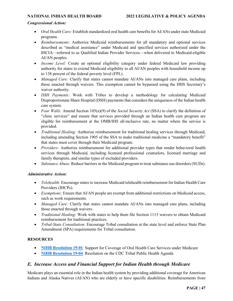#### *Congressional Action:*

- *Oral Health Care:* Establish standardized oral health care benefits for AI/ANs under state Medicaid programs.
- *Reimbursements:* Authorize Medicaid reimbursements for all mandatory and optional services described as "medical assistance" under Medicaid and specified services authorized under the IHCIA—referred to as Qualified Indian Provider Services—when delivered to Medicaid-eligible AI/AN peoples.
- *Income Level:* Create an optional eligibility category under federal Medicaid law providing authority for states to extend Medicaid eligibility to all AI/AN peoples with household income up to 138 percent of the federal poverty level (FPL).
- *Managed Care:* Clarify that states cannot mandate AI/ANs into managed care plans, including those enacted through waivers. This exemption cannot be bypassed using the HHS Secretary's waiver authority.
- *DSH Payments:* Work with Tribes to develop a methodology for calculating Medicaid Disproportionate Share Hospital (DSH) payments that considers the uniqueness of the Indian health care system.
- *Four Walls:* Amend Section 105(a)(9) of the *Social Security Act* (SSA) to clarify the definition of "clinic services" and ensure that services provided through an Indian health care program are eligible for reimbursement at the OMB/IHS all-inclusive rate, no matter where the service is provided.
- *Traditional Healing:* Authorize reimbursement for traditional healing services through Medicaid, including amending Section 1905 of the SSA to make traditional medicine a "mandatory benefit" that states must cover through their Medicaid program.
- *Providers:* Authorize reimbursement for additional provider types that render behavioral health services through Medicaid, including licensed professional counselors, licensed marriage and family therapists, and similar types of excluded providers.
- *Substance Abuse*. Reduce barriers in the Medicaid program to treat substance use disorders (SUDs).

#### *Administrative Action:*

- *Telehealth:* Encourage states to increase Medicaid telehealth reimbursement for Indian Health Care Providers (IHCPs).
- *Exemptions:* Ensure that AI/AN people are exempt from additional restrictions on Medicaid access, such as work requirements.
- *Managed Care:* Clarify that states cannot mandate AI/ANs into managed care plans, including those enacted through waivers.
- *Traditional Healing:* Work with states to help them file Section 1115 waivers to obtain Medicaid reimbursement for traditional practices.
- *Tribal-State Consultation:* Encourage Tribal consultation at the state level and enforce State Plan Amendment (SPA) requirements for Tribal consultation.

#### **RESOURCES**

- **[NIHB Resolution 19-01](https://www.nihb.org/docs/03042019/19-01%20NIHB%20Resolution%20Medicare%20Dental.pdf)**: Support for Coverage of Oral Health Care Services under Medicare
- **[NIHB Resolution 19-04](https://www.nihb.org/docs/09162019/19-04%20NIHB%20Resolution%20TPHA.pdf)**: Resolution on the CDC Tribal Public Health Agenda

### <span id="page-46-0"></span>*E. Increase Access and Financial Support for Indian Health through Medicare*

Medicare plays an essential role in the Indian health system by providing additional coverage for American Indians and Alaska Natives (AI/AN) who are elderly or have specific disabilities. Reimbursements from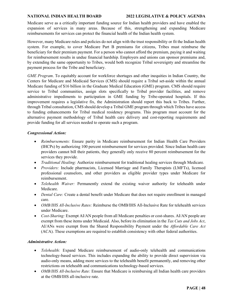#### **NATIONAL INDIAN HEALTH BOARD 2022 LEGISLATIVE & POLICY AGENDA**

Medicare serve as a critically important funding source for Indian health providers and have enabled the expansion of services in many areas. Because of this, strengthening and expanding Medicare reimbursements for services can protect the financial health of the Indian health system.

However, many Medicare rules and policies do not align with the trust responsibility or fit the Indian health system. For example, to cover Medicare Part B premiums for citizens, Tribes must reimburse the beneficiary for their premium payment. For a person who cannot afford the premium, paying it and waiting for reimbursement results in undue financial hardship. Employers and unions can sponsor premiums and, by extending the same opportunity to Tribes, would both recognize Tribal sovereignty and streamline the payment process for the Tribe and beneficiary.

*GME Program*. To equitably account for workforce shortages and other inequities in Indian Country, the Centers for Medicare and Medicaid Services (CMS) should require a Tribal set-aside within the annual Medicare funding of \$16 billion in the Graduate Medical Education (GME) program. CMS should require service to Tribal communities, assign slots specifically to Tribal provider facilities, and remove administrative impediments to participation in GME funding by Tribe-operated hospitals. If this improvement requires a legislative fix, the Administration should report this back to Tribes. Further, through Tribal consultation, CMS should develop a Tribal GME program through which Tribes have access to funding enhancements for Tribal medical residency programs. This program must account for the alternative payment methodology of Tribal health care delivery and cost-reporting requirements and provide funding for all services needed to operate such a program.

#### *Congressional Action:*

- *Reimbursements:* Ensure parity in Medicare reimbursement for Indian Health Care Providers (IHCPs) by authorizing 100 percent reimbursement for services provided. Since Indian health care providers cannot bill their patients, they generally only receive 80 percent reimbursement for the services they provide.
- *Traditional Healing:* Authorize reimbursement for traditional healing services through Medicare.
- *Providers:* Include pharmacists, Licensed Marriage and Family Therapists (LMFTs), licensed professional counselors, and other providers as eligible provider types under Medicare for reimbursement.
- *Telehealth Waiver:* Permanently extend the existing waiver authority for telehealth under Medicare.
- *Dental Care:* Create a dental benefit under Medicare that does not require enrollment in managed care.
- *OMB/IHS All-Inclusive Rates:* Reimburse the OMB/IHS All-Inclusive Rate for telehealth services under Medicare.
- *Cost-Sharing:* Exempt AI/AN people from all Medicare penalties or cost-shares. AI/AN people are exempt from these items under Medicaid. Also, before its elimination in the *Tax Cuts and Jobs Act*, AI/ANs were exempt from the Shared Responsibility Payment under the *Affordable Care Act*  (ACA). These exemptions are required to establish consistency with other federal authorities.

#### *Administrative Action:*

- *Telehealth:* Expand Medicare reimbursement of audio-only telehealth and communications technology-based services. This includes expanding the ability to provide direct supervision via audio-only means, adding more services to the telehealth benefit permanently, and removing other restrictions on telehealth and communications technology-based services.
- *OMB/IHS All-Inclusive Rate:* Ensure that Medicare is reimbursing all Indian health care providers at the OMB/IHS all-inclusive rate.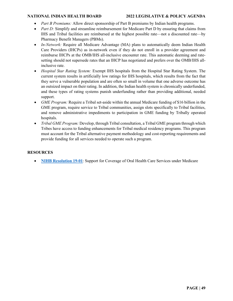- *Part B Premiums:* Allow direct sponsorship of Part B premiums by Indian health programs.
- *Part D:* Simplify and streamline reimbursement for Medicare Part D by ensuring that claims from IHS and Tribal facilities are reimbursed at the highest possible rate—not a discounted rate—by Pharmacy Benefit Managers (PBMs).
- *In-Network:* Require all Medicare Advantage (MA) plans to automatically deem Indian Health Care Providers (IHCPs) as in-network even if they do not enroll in a provider agreement and reimburse IHCPs at the OMB/IHS all-inclusive encounter rate. This automatic deeming and ratesetting should not supersede rates that an IHCP has negotiated and prefers over the OMB/IHS allinclusive rate.
- *Hospital Star Rating System:* Exempt IHS hospitals from the Hospital Star Rating System. The current system results in artificially low ratings for IHS hospitals, which results from the fact that they serve a vulnerable population and are often so small in volume that one adverse outcome has an outsized impact on their rating. In addition, the Indian health system is chronically underfunded, and these types of rating systems punish underfunding rather than providing additional, needed support.
- *GME Program:* Require a Tribal set-aside within the annual Medicare funding of \$16 billion in the GME program, require service to Tribal communities, assign slots specifically to Tribal facilities, and remove administrative impediments to participation in GME funding by Tribally operated hospitals.
- *Tribal GME Program:* Develop, through Tribal consultation, a Tribal GME program through which Tribes have access to funding enhancements for Tribal medical residency programs. This program must account for the Tribal alternative payment methodology and cost-reporting requirements and provide funding for all services needed to operate such a program.

#### **RESOURCES**

• **[NIHB Resolution 19-01](https://www.nihb.org/docs/03042019/19-01%20NIHB%20Resolution%20Medicare%20Dental.pdf)**: Support for Coverage of Oral Health Care Services under Medicare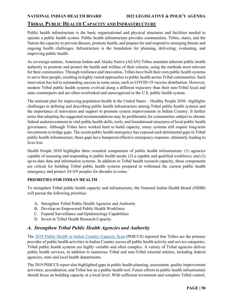### <span id="page-49-0"></span>**TRIBAL PUBLIC HEALTH CAPACITY AND INFRASTRUCTURE**

Public health infrastructure is the basic organizational and physical structures and facilities needed to operate a public health system. Public health infrastructure provides communities, Tribes, states, and the Nation the capacity to prevent disease, promote health, and prepare for and respond to emerging threats and ongoing health challenges. Infrastructure is the foundation for planning, delivering, evaluating, and improving public health.

As sovereign nations, American Indian and Alaska Native (AI/AN) Tribes maintain inherent public health authority to promote and protect the health and welfare of their citizens, using the methods most relevant for their communities. Through resilience and innovation, Tribes have built their own public health systems to serve their people, resulting in highly varied approaches to public health across Tribal communities. Such innovation has led to outstanding success in some areas, such as COVID-19 vaccine distribution. However, modern Tribal public health systems evolved along a different trajectory than their non-Tribal local and state counterparts and are often overlooked and unrecognized in the U.S. public health system.

The national plan for improving population health in the United States – Healthy People 2030– highlights challenges in defining and describing public health infrastructure among Tribal public health systems and the importance of innovation and support to promote system improvements in Indian Country. It further notes that adopting the suggested recommendations may be problematic for communities subject to chronic federal underinvestment in vital public health skills, tools, and foundational structures of local public health governance. Although Tribes have worked hard to build capacity, many systems still require long-term investments to bridge gaps. The recent public health emergency has exposed such detrimental gaps in Tribal public health infrastructure; these gaps have hampered effective emergency response, ultimately leading to lives lost.

Health People 2030 highlights three essential components of public health infrastructure: (1) agencies capable of assessing and responding to public health needs; (2) a capable and qualified workforce; and (3) up-to-date data and information systems. In addition to Tribal health research capacity, these components are critical for building Tribal public health systems prepared to withstand the current public health emergency and protect AI/AN peoples for decades to come.

### **PRIORITIES FOR INDIAN HEALTH**

To strengthen Tribal public health capacity and infrastructure, the National Indian Health Board (NIHB) will pursue the following priorities:

- A. Strengthen Tribal Public Health Agencies and Authority
- B. Develop an Empowered Public Health Workforce
- C. Expand Surveillance and Epidemiology Capabilities
- D. Invest in Tribal Health Research Capacity

### <span id="page-49-1"></span>*A. Strengthen Tribal Public Health Agencies and Authority*

The [2019 Public Health in Indian Country Capacity Scan](https://www.nihb.org/docs/11182020/369439_NIHB%20PHICCS%20Report%20Update_Nov17_Compliant.pdf) (PHICCS) reported that Tribes are the primary provider of public health activities in Indian Country across all public health activity and service categories. Tribal public health systems are highly variable and often complex. A variety of Tribal agencies deliver public health services, in addition to numerous Tribal and non-Tribal external entities, including federal agencies, state and local health departments.

The 2019 PHICCS report also highlighted gaps in public health planning, assessment, quality improvement activities; accreditation; and Tribal law as a public health tool. Future efforts in public health infrastructure should focus on building capacity at a local level. With sufficient investment and complete Tribal control,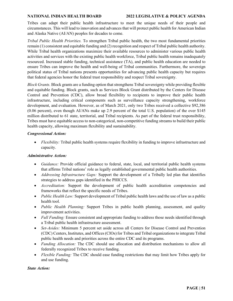Tribes can adapt their public health infrastructure to meet the unique needs of their people and circumstances. This will lead to innovation and advances that will protect public health for American Indian and Alaska Native (AI/AN) peoples for decades to come.

*Tribal Public Health Priorities.* To strengthen Tribal public health, the two most fundamental priorities remain (1) consistent and equitable funding and (2) recognition and respect of Tribal public health authority. While Tribal health organizations maximize their available resources to administer various public health activities and services with the existing public health workforce, Tribal public health remains inadequately resourced. Increased stable funding, technical assistance (TA), and public health education are needed to ensure Tribes can improve the health and well-being of Tribal communities. Furthermore, the sovereign political status of Tribal nations presents opportunities for advancing public health capacity but requires that federal agencies honor the federal trust responsibility and respect Tribal sovereignty.

*Block Grants.* Block grants are a funding option that strengthens Tribal sovereignty while providing flexible and equitable funding. Block grants, such as Services Block Grant distributed by the Centers for Disease Control and Prevention (CDC), allow broad flexibility to recipients to improve their public health infrastructure, including critical components such as surveillance capacity strengthening, workforce development, and evaluation. However, as of March 2021, only two Tribes received a collective \$92,386 (0.06 percent), even though AI/ANs make up 2.9 percent of the total U.S. population) of the over \$145 million distributed to 61 state, territorial, and Tribal recipients. As part of the federal trust responsibility, Tribes must have equitable access to non-categorical, non-competitive funding streams to build their public health capacity, allowing maximum flexibility and sustainability.

#### *Congressional Action:*

• *Flexibility:* Tribal public health systems require flexibility in funding to improve infrastructure and capacity.

#### *Administrative Action:*

- *Guidance:* Provide official guidance to federal, state, local, and territorial public health systems that affirms Tribal nations' role as legally established governmental public health authorities.
- *Addressing Infrastructure Gaps:* Support the development of a Tribally led plan that identifies strategies to address gaps identified in the PHICCS.
- *Accreditation:* Support the development of public health accreditation competencies and frameworks that reflect the specific needs of Tribes.
- *Public Health Law:* Support development of Tribal public health laws and the use of law as a public health tool.
- *Public Health Planning:* Support Tribes in public health planning, assessment, and quality improvement activities.
- *Full Funding:* Ensure consistent and appropriate funding to address those needs identified through a Tribal public health infrastructure assessment.
- *Set-Asides:* Minimum 5 percent set aside across all Centers for Disease Control and Prevention (CDC) Centers, Institutes, and Offices (CIOs) for Tribes and Tribal organizations to integrate Tribal public health needs and priorities across the entire CDC and its programs.
- *Funding Allocation:* The CDC should use allocation and distribution mechanisms to allow all federally recognized Tribes to receive funding.
- *Flexible Funding:* The CDC should ease funding restrictions that may limit how Tribes apply for and use funding.

*State Action:*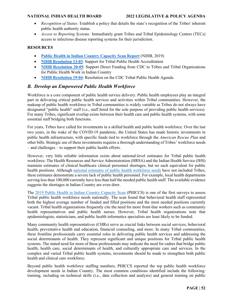- *Recognition of Status:* Establish a policy that details the state's recognition of the Tribes' inherent public health authority status.
- *Access to Reporting Systems:* Immediately grant Tribes and Tribal Epidemiology Centers (TECs) access to infectious disease reporting systems for their jurisdiction.

#### **RESOURCES**

- **[Public Health in Indian Country Capacity Scan Report](https://www.nihb.org/docs/11182020/369439_NIHB%20PHICCS%20Report%20Update_Nov17_Compliant.pdf)** (NIHB, 2019)
- **[NIHB Resolution 13-03](https://www.nihb.org/docs/10172016/Resoultions%20for%20Website/2013/NIHB%20Resolution%2013-03.pdf)**: Support for Tribal Public Health Accreditation
- **[NIHB Resolution 20-05](https://www.nihb.org/docs/03052020/20-05%20NIHB%20Resolution%20on%20CDC%20Funding.pdf)**: Support Direct Funding from CDC to Tribes and Tribal Organizations for Public Health Work in Indian Country
- **[NIHB Resolution 19-04](https://www.nihb.org/docs/09162019/19-04%20NIHB%20Resolution%20TPHA.pdf)**: Resolution on the CDC Tribal Public Health Agenda

### <span id="page-51-0"></span>*B. Develop an Empowered Public Health Workforce*

Workforce is a core component of public health service delivery. Public health employees play an integral part in delivering critical public health services and activities within Tribal communities. However, the makeup of public health workforce in Tribal communities is widely variable as Tribes do not always have designated "public health" staff (i.e., staff hired for the sole purpose of providing public health services). For many Tribes, significant overlap exists between their health care and public health systems, with some essential staff bridging both functions.

For years, Tribes have called for investments in a skilled health and public health workforce. Over the last two years, in the wake of the COVID-19 pandemic, the United States has made historic investments in public health infrastructure, with specific funds tied to workforce through the *American Rescue Plan* and other bills. Strategic use of these investments requires a thorough understanding of Tribes' workforce needs – and challenges – to support their public health efforts.

However, very little reliable information exists about national-level estimates for Tribal public health workforce. The Health Resources and Service Administration (HRSA) and the Indian Health Service (IHS) maintain estimates of clinical healthcare clinical personnel shortages, but no such equivalent for public health positions. Although [national estimates of public health workforce needs](https://phnci.org/uploads/resource-files/Staffing-Up-Final-Report.pdf) have not included Tribes, these estimates demonstrate a severe lack of public health personnel. For example, local health departments serving less than 100,000 currently have less than half the needed public health staff. The available evidence suggests the shortages in Indian Country are even direr.

The [2019 Public Health in Indian Country Capacity Scan](https://www.nihb.org/docs/11182020/369439_NIHB%20PHICCS%20Report%20Update_Nov17_Compliant.pdf) (PHICCS) is one of the first surveys to assess Tribal public health workforce needs nationally. The scan found that behavioral health staff represented both the highest average number of funded and filled positions and the most needed positions currently vacant. Tribal health organizations frequently cite the need for more front-line workers such as community health representatives and public health nurses. However, Tribal health organizations note that epidemiologists, statisticians, and public health informatics specialists are least likely to be funded.

Many community health representatives (CHRs) serve as crucial links between social services, behavioral health, preventative health and education, financial counseling, and more. In many Tribal communities, these frontline professionals carry essential roles in delivering public health services and addressing the social determinants of health. They represent significant and unique positions for Tribal public health systems. The stated need for more of these professionals may indicate the need for cadres that bridge public health, health care, social determinants of health, and culturally appropriate care and services. In the complex and varied Tribal public health systems, investments should be made to strengthen both public health and clinical care workforce.

Beyond public health workforce staffing numbers, PHICCS reported the top public health workforce development needs in Indian Country. The most common conditions identified include the following: training, including on technical skills (i.e., data collection and analysis) and general training on public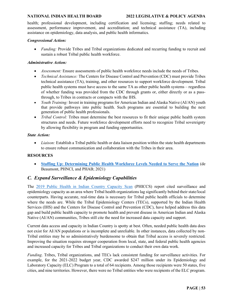health; professional development, including certification and licensing; staffing; needs related to assessment, performance improvement, and accreditation; and technical assistance (TA), including assistance on epidemiology, data analysis, and public health informatics.

#### *Congressional Action:*

• *Funding:* Provide Tribes and Tribal organizations dedicated and recurring funding to recruit and sustain a robust Tribal public health workforce.

#### *Administrative Action:*

- *Assessment:* Ensure assessments of public health workforce needs include the needs of Tribes.
- *Technical Assistance:* The Centers for Disease Control and Prevention (CDC) must provide Tribes technical assistance (TA), training, and other resources to support workforce development. Tribal public health systems must have access to the same TA as other public health systems – regardless of whether funding was provided from the CDC through grants or, either directly or as a passthrough, to Tribes in contracts or compacts with the IHS.
- *Youth Training:* Invest in training programs for American Indian and Alaska Native (AI/AN) youth that provide pathways into public health. Such programs are essential to building the next generation of public health professionals.
- *Tribal Control:* Tribes must determine the best resources to fit their unique public health system structures and needs. Future workforce development efforts need to recognize Tribal sovereignty by allowing flexibility in program and funding opportunities.

#### *State Action:*

• *Liaison:* Establish a Tribal public health or data liaison position within the state health departments to ensure robust communication and collaboration with the Tribes in their area.

#### **RESOURCES**

• **Staffing Up: [Determining Public Health Workforce Levels](https://phnci.org/uploads/resource-files/Staffing-Up-Final-Report.pdf) Needed to Serve the Nation** (de Beaumont, PHNCI, and PHAB; 2021)

### <span id="page-52-0"></span>*C. Expand Surveillance & Epidemiology Capabilities*

The [2019 Public Health in Indian Country Capacity Scan](https://www.nihb.org/docs/11182020/369439_NIHB%20PHICCS%20Report%20Update_Nov17_Compliant.pdf) (PHICCS) report cited surveillance and epidemiology capacity as an area where Tribal health organizations lag significantly behind their state/local counterparts. Having accurate, real-time data is necessary for Tribal public health officials to determine where the needs are. While the Tribal Epidemiology Centers (TECs), supported by the Indian Health Services (IHS) and the Centers for Disease Control and Prevention (CDC), have helped address this data gap and build public health capacity to promote health and prevent disease in American Indian and Alaska Native (AI/AN) communities, Tribes still cite the need for increased data capacity and support.

Current data access and capacity in Indian Country is spotty at best. Often, needed public health data does not exist for AI/AN populations or is incomplete and unreliable. In other instances, data collected by non-Tribal entities may be so administratively burdensome to obtain that Tribal access is severely restricted. Improving the situation requires stronger cooperation from local, state, and federal public health agencies and increased capacity for Tribes and Tribal organizations to conduct their own data work.

*Funding*. Tribes, Tribal organizations, and TECs lack consistent funding for surveillance activities. For example, for the 2021-2022 budget year, CDC awarded \$247 million under its Epidemiology and Laboratory Capacity (ELC) Program to a total of 64 recipients. Among those recipients were 50 states, five cities, and nine territories. However, there were no Tribal entities who were recipients of the ELC program.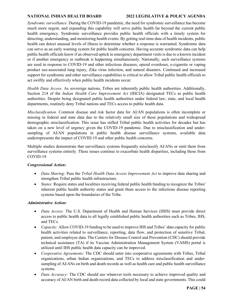#### **NATIONAL INDIAN HEALTH BOARD 2022 LEGISLATIVE & POLICY AGENDA**

*Syndromic surveillance.* During the COVID-19 pandemic, the need for syndromic surveillance has become much more urgent, and expanding this capability will serve public health far beyond the current public health emergency. Syndromic surveillance provides public health officials with a timely system for detecting, understanding, and monitoring health events. By getting real-time data of health incidents, public health can detect unusual levels of illness to determine whether a response is warranted. Syndromic data can serve as an early warning system for public health concerns. Having accurate syndromic data can help public health officials know if an observed uptick in emergency department visits is due to a known incident or if another emergency or outbreak is happening simultaneously. Nationally, such surveillance systems are used in response to COVID-19 and other infectious diseases, opioid overdoses, e-cigarette or vaping product use-associated lung injury, Zika virus infection, and natural disasters. Continued and increased support for syndromic and other surveillance capabilities is critical to allow Tribal public health officials to act swiftly and effectively when public health incidents occur.

*Health Data Access.* As sovereign nations, Tribes are inherently public health authorities. Additionally, Section 214 of the *Indian Health Care Improvement Act* (IHCIA) designated TECs as public health authorities. Despite being designated public health authorities under federal law, state, and local health departments, routinely deny Tribal nations and TECs access to public health data.

*Misclassification*. Common disease and risk factor data for AI/AN populations is often incomplete or missing in federal and state data due to the relatively small size of these populations and widespread demographic misclassification. This issue has stifled Tribal public health activities for decades but has taken on a new level of urgency given the COVID-19 pandemic. Due to misclassification and undersampling of AI/AN populations in public health disease surveillance systems, available data underrepresents the impact of COVID-19 and other public health concerns.

Multiple studies demonstrate that surveillance systems frequently misclassify AI/ANs or omit them from surveillance systems entirely. These issues continue to exacerbate health disparities, including those from COVID-19.

#### *Congressional Action:*

- *Data Sharing:* Pass the *Tribal Health Data Access Improvement Act* to improve data sharing and strengthen Tribal public health infrastructure.
- *States:* Require states and localities receiving federal public health funding to recognize the Tribes' inherent public health authority status and grant them access to the infectious disease reporting systems based upon the boundaries of the Tribe.

#### *Administrative Action:*

- *Data Access:* The U.S. Department of Health and Human Services (HHS) must provide direct access to public health data to all legally established public health authorities such as Tribes, IHS, and TECs.
- *Capacity:* Allow COVID-19 funding to be used to improve IHS and Tribes' data capacity for public health activities related to surveillance, reporting, data flow, and protection of sensitive Tribal, patient, and employee data. The Centers for Disease Control and Prevention (CDC) should provide technical assistance (TA) if its Vaccine Administration Management System (VAMS) portal is utilized until IHS public health data capacity can be improved.
- *Cooperative Agreements:* The CDC should enter into cooperative agreements with Tribes, Tribal organizations, urban Indian organizations, and TECs to address misclassification and undersampling of AI/ANs on birth and death records as well as health care and public health surveillance systems.
- *Data Accuracy:* The CDC should use whatever tools necessary to achieve improved quality and accuracy of AI/AN birth and death record data collected by local and state governments. This could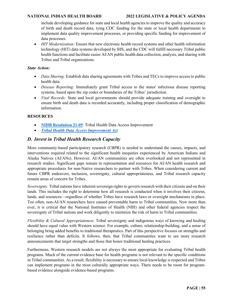#### **NATIONAL INDIAN HEALTH BOARD 2022 LEGISLATIVE & POLICY AGENDA**

include developing guidance for state and local health agencies to improve the quality and accuracy of birth and death record data, tying CDC funding for the state or local health departments to implement data quality improvement processes, or providing specific funding for improvement of data processes.

• *HIT Modernization:* Ensure that new electronic health record systems and other health information technology (HIT) data systems developed by IHS, and the CDC will fulfill necessary Tribal public health functions and facilitate easier AI/AN public health data collection, analysis, and sharing with Tribes and Tribal organizations.

#### *State Action:*

- *Data Sharing:* Establish data sharing agreements with Tribes and TECs to improve access to public health data.
- *Disease Reporting:* Immediately grant Tribal access to the states' infectious disease reporting systems, based upon the zip codes or boundaries of the Tribes' jurisdiction.
- *Vital Records:* State and local governments should provide adequate training and oversight to ensure birth and death data is recorded accurately, including proper classification of demographic information.

#### **RESOURCES**

- **[NIHB Resolution 21-05](https://www.nihb.org/docs/06172021/21-05%20NIHB%20Resolution%20on%20Tribal%20Health%20Data.pdf)**: Tribal Health Data Access Improvement
- *[Tribal Health Data Access Improvement Act](https://www.congress.gov/bill/117th-congress/house-bill/3841/text)*

### <span id="page-54-0"></span>*D. Invest in Tribal Health Research Capacity*

More community-based participatory research (CBPR) is needed to understand the causes, impacts, and interventions required related to the significant health inequities experienced by American Indians and Alaska Natives (AI/ANs). However, AI/AN communities are often overlooked and not represented in research studies. Significant gaps remain in representation and resources for AI/AN health research and appropriate procedures for non-Native researchers to partner with Tribes. When considering current and future CBPR endeavors, inclusion, sovereignty, cultural appropriateness, and Tribal research capacity remain areas of concern for Tribes.

*Sovereignty.* Tribal nations have inherent sovereign rights to govern research with their citizens and on their lands. This includes the right to determine how all research is conducted when it involves their citizens, lands, and resources—regardless of whether Tribes have research laws or oversight mechanisms in place. Too often, non-AI/AN researchers have caused preventable harm to Tribal communities. Now more than ever, it is critical that the National Institutes of Health (NIH) and other federal agencies respect the sovereignty of Tribal nations and work diligently to minimize the risk of harm to Tribal communities.

*Flexibility & Cultural Appropriateness.* Tribal sovereignty and indigenous ways of knowing and healing should have equal value with Western science. For example, culture, relationship-building, and a sense of belonging bring added benefits to traditional therapeutics. Part of this perspective focuses on strengths and resilience rather than deficits. It follows, then, that Tribal communities want to see more research announcements that target strengths and those that honor traditional healing practices.

Furthermore, Western research models are not always the most appropriate for evaluating Tribal health programs. Much of the current evidence base for health programs is not relevant to the specific conditions in Tribal communities. As a result, flexibility is necessary to ensure local knowledge is respected and Tribes can implement programs in the most culturally appropriate ways. There needs to be room for programbased evidence alongside evidence-based programs.